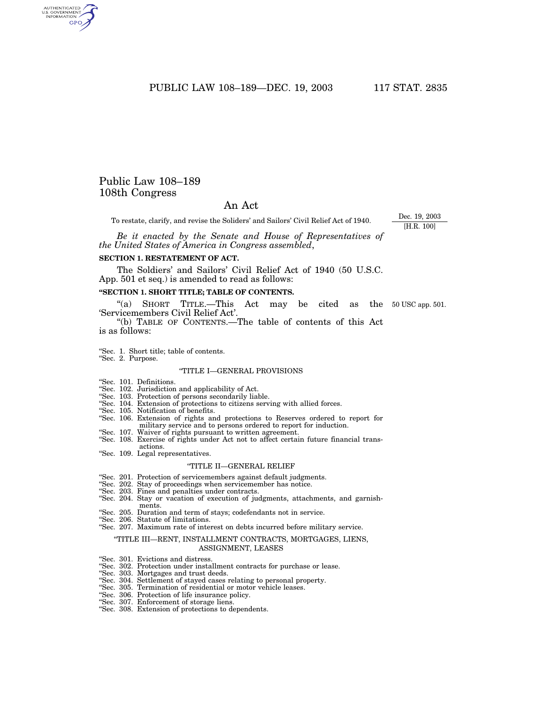PUBLIC LAW 108-189-DEC. 19, 2003 117 STAT. 2835

# Public Law 108–189 108th Congress

# An Act

To restate, clarify, and revise the Soliders' and Sailors' Civil Relief Act of 1940.

*Be it enacted by the Senate and House of Representatives of the United States of America in Congress assembled*,

## **SECTION 1. RESTATEMENT OF ACT.**

The Soldiers' and Sailors' Civil Relief Act of 1940 (50 U.S.C. App. 501 et seq.) is amended to read as follows:

### **''SECTION 1. SHORT TITLE; TABLE OF CONTENTS.**

''(a) SHORT TITLE.—This Act may be cited as the 50 USC app. 501. 'Servicemembers Civil Relief Act'.

''(b) TABLE OF CONTENTS.—The table of contents of this Act is as follows:

- ''Sec. 1. Short title; table of contents.
- ''Sec. 2. Purpose.

### ''TITLE I—GENERAL PROVISIONS

- ''Sec. 101. Definitions.
- ''Sec. 102. Jurisdiction and applicability of Act.
- ''Sec. 103. Protection of persons secondarily liable.
- ''Sec. 104. Extension of protections to citizens serving with allied forces.
- ''Sec. 105. Notification of benefits.
- ''Sec. 106. Extension of rights and protections to Reserves ordered to report for military service and to persons ordered to report for induction.
- ''Sec. 107. Waiver of rights pursuant to written agreement.
- "Sec. 108. Exercise of rights under Act not to affect certain future financial trans-
- actions. ''Sec. 109. Legal representatives.

### ''TITLE II—GENERAL RELIEF

- ''Sec. 201. Protection of servicemembers against default judgments.
- ''Sec. 202. Stay of proceedings when servicemember has notice.
- ''Sec. 203. Fines and penalties under contracts.
- ''Sec. 204. Stay or vacation of execution of judgments, attachments, and garnish-
- ments. ''Sec. 205. Duration and term of stays; codefendants not in service.
- ''Sec. 206. Statute of limitations.
- ''Sec. 207. Maximum rate of interest on debts incurred before military service.

# ''TITLE III—RENT, INSTALLMENT CONTRACTS, MORTGAGES, LIENS,

### ASSIGNMENT, LEASES

- ''Sec. 301. Evictions and distress.
- ''Sec. 302. Protection under installment contracts for purchase or lease.
- ''Sec. 303. Mortgages and trust deeds.
- ''Sec. 304. Settlement of stayed cases relating to personal property.
- ''Sec. 305. Termination of residential or motor vehicle leases.
- ''Sec. 306. Protection of life insurance policy.
- ''Sec. 307. Enforcement of storage liens.
- ''Sec. 308. Extension of protections to dependents.

[H.R. 100]

Dec. 19, 2003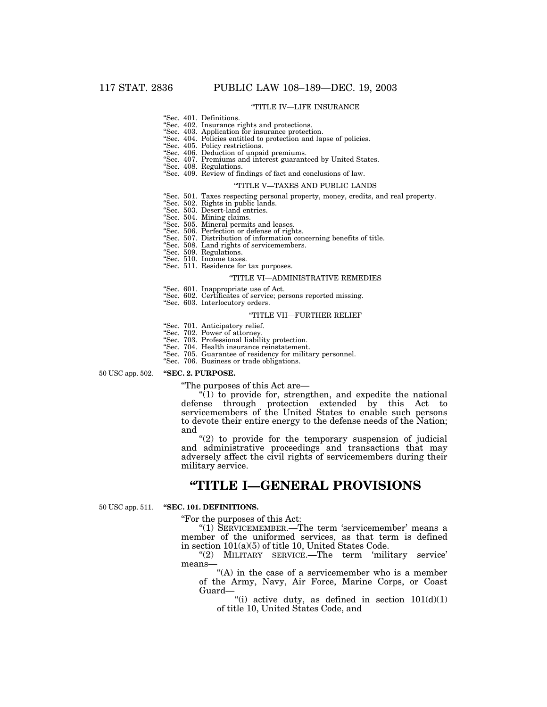## ''TITLE IV—LIFE INSURANCE

- 
- ''Sec. 401. Definitions. ''Sec. 402. Insurance rights and protections.
- ''Sec. 403. Application for insurance protection.
- ''Sec. 404. Policies entitled to protection and lapse of policies.
- ''Sec. 405. Policy restrictions.
- ''Sec. 406. Deduction of unpaid premiums. ''Sec. 407. Premiums and interest guaranteed by United States.
- ''Sec. 408. Regulations.
- ''Sec. 409. Review of findings of fact and conclusions of law.

### ''TITLE V—TAXES AND PUBLIC LANDS

- ''Sec. 501. Taxes respecting personal property, money, credits, and real property. ''Sec. 502. Rights in public lands.
- 
- ''Sec. 503. Desert-land entries.
- ''Sec. 504. Mining claims.
- "Sec. 505. Mineral permits and leases.
- 
- ''Sec. 506. Perfection or defense of rights. ''Sec. 507. Distribution of information concerning benefits of title.
- ''Sec. 508. Land rights of servicemembers.
- ''Sec. 509. Regulations.
- ''Sec. 510. Income taxes.
- ''Sec. 511. Residence for tax purposes.

### ''TITLE VI—ADMINISTRATIVE REMEDIES

- ''Sec. 601. Inappropriate use of Act.
	- ''Sec. 602. Certificates of service; persons reported missing. ''Sec. 603. Interlocutory orders.
	-

### ''TITLE VII—FURTHER RELIEF

- 
- ''Sec. 701. Anticipatory relief. ''Sec. 702. Power of attorney.
- ''Sec. 703. Professional liability protection.
- ''Sec. 704. Health insurance reinstatement.
- ''Sec. 705. Guarantee of residency for military personnel. ''Sec. 706. Business or trade obligations.
- 

50 USC app. 502.

# **''SEC. 2. PURPOSE.**

''The purposes of this Act are—

 $(1)$  to provide for, strengthen, and expedite the national defense through protection extended by this Act to servicemembers of the United States to enable such persons to devote their entire energy to the defense needs of the Nation; and

"(2) to provide for the temporary suspension of judicial and administrative proceedings and transactions that may adversely affect the civil rights of servicemembers during their military service.

# **''TITLE I—GENERAL PROVISIONS**

50 USC app. 511.

## **''SEC. 101. DEFINITIONS.**

''For the purposes of this Act:

"(1) SERVICEMEMBER.—The term 'servicemember' means a member of the uniformed services, as that term is defined in section 101(a)(5) of title 10, United States Code.

''(2) MILITARY SERVICE.—The term 'military service' means—

''(A) in the case of a servicemember who is a member of the Army, Navy, Air Force, Marine Corps, or Coast Guard—

"(i) active duty, as defined in section  $101(d)(1)$ of title 10, United States Code, and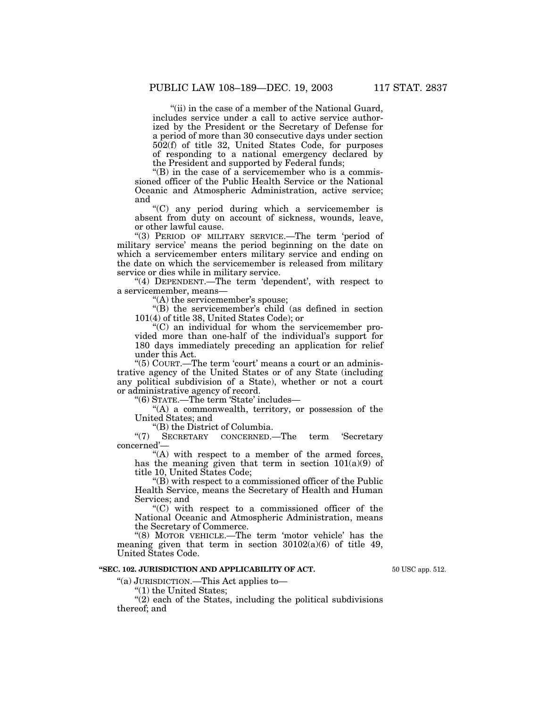"(ii) in the case of a member of the National Guard, includes service under a call to active service authorized by the President or the Secretary of Defense for a period of more than 30 consecutive days under section 502(f) of title 32, United States Code, for purposes of responding to a national emergency declared by the President and supported by Federal funds;

 $\mathrm{``(B)}$  in the case of a servicemember who is a commissioned officer of the Public Health Service or the National Oceanic and Atmospheric Administration, active service; and

''(C) any period during which a servicemember is absent from duty on account of sickness, wounds, leave, or other lawful cause.

"(3) PERIOD OF MILITARY SERVICE.—The term 'period of military service' means the period beginning on the date on which a servicemember enters military service and ending on the date on which the servicemember is released from military service or dies while in military service.

"(4) DEPENDENT.—The term 'dependent', with respect to a servicemember, means—

"(A) the servicemember's spouse;

''(B) the servicemember's child (as defined in section 101(4) of title 38, United States Code); or

''(C) an individual for whom the servicemember provided more than one-half of the individual's support for 180 days immediately preceding an application for relief under this Act.

''(5) COURT.—The term 'court' means a court or an administrative agency of the United States or of any State (including any political subdivision of a State), whether or not a court or administrative agency of record.

''(6) STATE.—The term 'State' includes—

 $f(A)$  a commonwealth, territory, or possession of the United States; and

''(B) the District of Columbia.

''(7) SECRETARY CONCERNED.—The term 'Secretary concerned'—

"(A) with respect to a member of the armed forces, has the meaning given that term in section  $101(a)(9)$  of title 10, United States Code;

''(B) with respect to a commissioned officer of the Public Health Service, means the Secretary of Health and Human Services; and

"(C) with respect to a commissioned officer of the National Oceanic and Atmospheric Administration, means the Secretary of Commerce.

"(8) MOTOR VEHICLE.—The term 'motor vehicle' has the meaning given that term in section 30102(a)(6) of title 49, United States Code.

# **''SEC. 102. JURISDICTION AND APPLICABILITY OF ACT.**

50 USC app. 512.

''(a) JURISDICTION.—This Act applies to—

''(1) the United States;

"(2) each of the States, including the political subdivisions thereof; and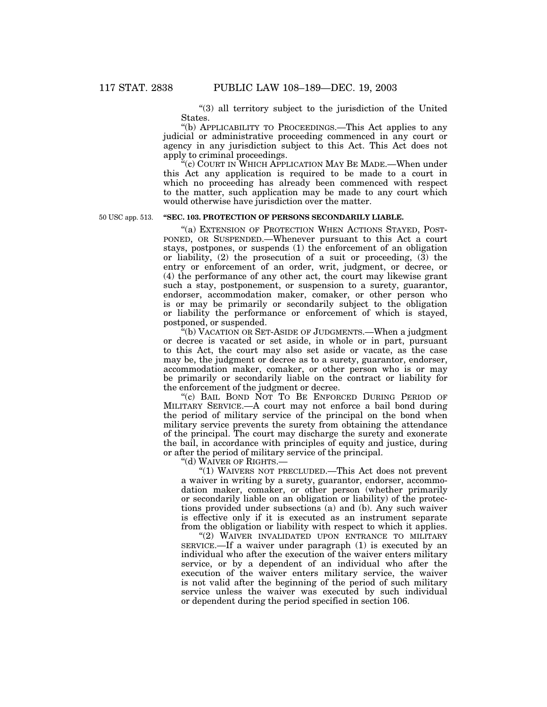''(3) all territory subject to the jurisdiction of the United States.

''(b) APPLICABILITY TO PROCEEDINGS.—This Act applies to any judicial or administrative proceeding commenced in any court or agency in any jurisdiction subject to this Act. This Act does not apply to criminal proceedings.

"(c) COURT IN WHICH APPLICATION MAY BE MADE.—When under this Act any application is required to be made to a court in which no proceeding has already been commenced with respect to the matter, such application may be made to any court which would otherwise have jurisdiction over the matter.

50 USC app. 513.

# **''SEC. 103. PROTECTION OF PERSONS SECONDARILY LIABLE.**

"(a) EXTENSION OF PROTECTION WHEN ACTIONS STAYED, POST-PONED, OR SUSPENDED.—Whenever pursuant to this Act a court stays, postpones, or suspends (1) the enforcement of an obligation or liability, (2) the prosecution of a suit or proceeding, (3) the entry or enforcement of an order, writ, judgment, or decree, or (4) the performance of any other act, the court may likewise grant such a stay, postponement, or suspension to a surety, guarantor, endorser, accommodation maker, comaker, or other person who is or may be primarily or secondarily subject to the obligation or liability the performance or enforcement of which is stayed, postponed, or suspended.

''(b) VACATION OR SET-ASIDE OF JUDGMENTS.—When a judgment or decree is vacated or set aside, in whole or in part, pursuant to this Act, the court may also set aside or vacate, as the case may be, the judgment or decree as to a surety, guarantor, endorser, accommodation maker, comaker, or other person who is or may be primarily or secondarily liable on the contract or liability for the enforcement of the judgment or decree.

''(c) BAIL BOND NOT TO BE ENFORCED DURING PERIOD OF MILITARY SERVICE.—A court may not enforce a bail bond during the period of military service of the principal on the bond when military service prevents the surety from obtaining the attendance of the principal. The court may discharge the surety and exonerate the bail, in accordance with principles of equity and justice, during or after the period of military service of the principal.

''(d) WAIVER OF RIGHTS.—

''(1) WAIVERS NOT PRECLUDED.—This Act does not prevent a waiver in writing by a surety, guarantor, endorser, accommodation maker, comaker, or other person (whether primarily or secondarily liable on an obligation or liability) of the protections provided under subsections (a) and (b). Any such waiver is effective only if it is executed as an instrument separate from the obligation or liability with respect to which it applies.

"(2) WAIVER INVALIDATED UPON ENTRANCE TO MILITARY SERVICE.—If a waiver under paragraph (1) is executed by an individual who after the execution of the waiver enters military service, or by a dependent of an individual who after the execution of the waiver enters military service, the waiver is not valid after the beginning of the period of such military service unless the waiver was executed by such individual or dependent during the period specified in section 106.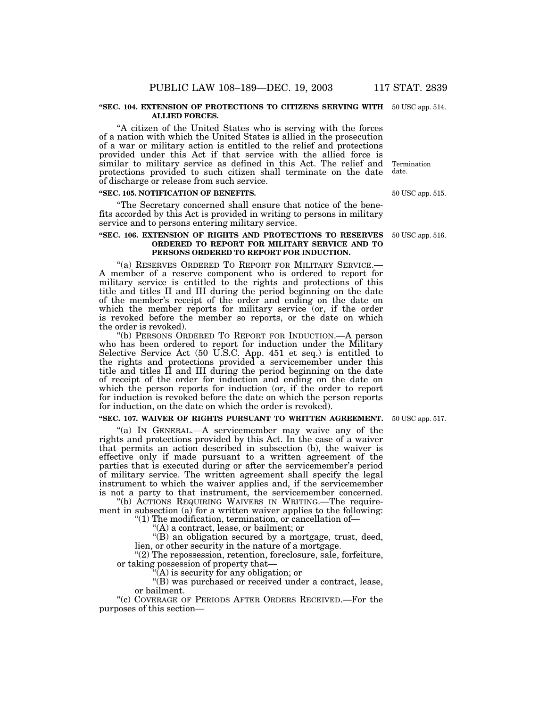#### **''SEC. 104. EXTENSION OF PROTECTIONS TO CITIZENS SERVING WITH** 50 USC app. 514. **ALLIED FORCES.**

"A citizen of the United States who is serving with the forces of a nation with which the United States is allied in the prosecution of a war or military action is entitled to the relief and protections provided under this Act if that service with the allied force is similar to military service as defined in this Act. The relief and protections provided to such citizen shall terminate on the date of discharge or release from such service.

### **''SEC. 105. NOTIFICATION OF BENEFITS.**

''The Secretary concerned shall ensure that notice of the benefits accorded by this Act is provided in writing to persons in military service and to persons entering military service.

### **''SEC. 106. EXTENSION OF RIGHTS AND PROTECTIONS TO RESERVES ORDERED TO REPORT FOR MILITARY SERVICE AND TO PERSONS ORDERED TO REPORT FOR INDUCTION.**

''(a) RESERVES ORDERED TO REPORT FOR MILITARY SERVICE.— A member of a reserve component who is ordered to report for military service is entitled to the rights and protections of this title and titles II and III during the period beginning on the date of the member's receipt of the order and ending on the date on which the member reports for military service (or, if the order is revoked before the member so reports, or the date on which the order is revoked).

''(b) PERSONS ORDERED TO REPORT FOR INDUCTION.—A person who has been ordered to report for induction under the Military Selective Service Act (50 U.S.C. App. 451 et seq.) is entitled to the rights and protections provided a servicemember under this title and titles II and III during the period beginning on the date of receipt of the order for induction and ending on the date on which the person reports for induction (or, if the order to report for induction is revoked before the date on which the person reports for induction, on the date on which the order is revoked).

#### **"SEC. 107. WAIVER OF RIGHTS PURSUANT TO WRITTEN AGREEMENT.** 50 USC app. 517.

''(a) IN GENERAL.—A servicemember may waive any of the rights and protections provided by this Act. In the case of a waiver that permits an action described in subsection (b), the waiver is effective only if made pursuant to a written agreement of the parties that is executed during or after the servicemember's period of military service. The written agreement shall specify the legal instrument to which the waiver applies and, if the servicemember is not a party to that instrument, the servicemember concerned.

''(b) ACTIONS REQUIRING WAIVERS IN WRITING.—The requirement in subsection (a) for a written waiver applies to the following:

''(1) The modification, termination, or cancellation of—

''(A) a contract, lease, or bailment; or

''(B) an obligation secured by a mortgage, trust, deed, lien, or other security in the nature of a mortgage.

"(2) The repossession, retention, foreclosure, sale, forfeiture, or taking possession of property that—

 $\widehat{A}$ ) is security for any obligation; or

''(B) was purchased or received under a contract, lease, or bailment.

''(c) COVERAGE OF PERIODS AFTER ORDERS RECEIVED.—For the purposes of this section—

50 USC app. 516.

50 USC app. 515.

Termination date.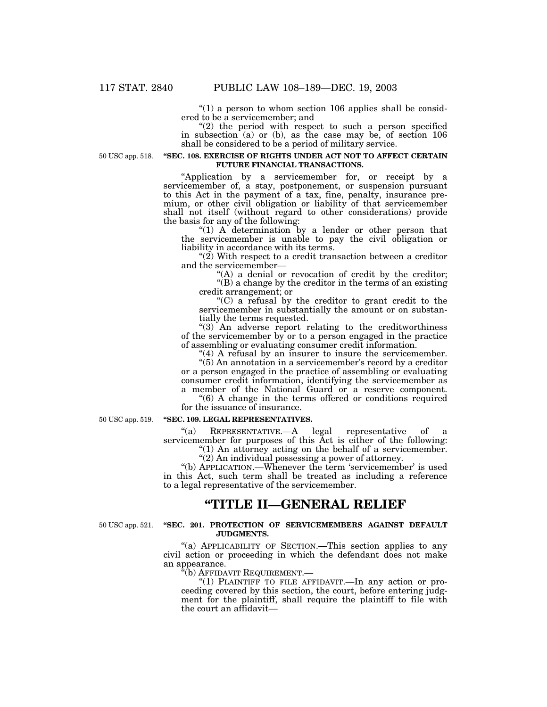" $(1)$  a person to whom section 106 applies shall be considered to be a servicemember; and

" $(2)$  the period with respect to such a person specified in subsection (a) or (b), as the case may be, of section 106 shall be considered to be a period of military service.

50 USC app. 518.

### **''SEC. 108. EXERCISE OF RIGHTS UNDER ACT NOT TO AFFECT CERTAIN FUTURE FINANCIAL TRANSACTIONS.**

''Application by a servicemember for, or receipt by a servicemember of, a stay, postponement, or suspension pursuant to this Act in the payment of a tax, fine, penalty, insurance premium, or other civil obligation or liability of that servicemember shall not itself (without regard to other considerations) provide the basis for any of the following:

"(1) A determination by a lender or other person that the servicemember is unable to pay the civil obligation or liability in accordance with its terms.

" $(2)$  With respect to a credit transaction between a creditor and the servicemember—

"(A) a denial or revocation of credit by the creditor; ''(B) a change by the creditor in the terms of an existing credit arrangement; or

 $C$ ) a refusal by the creditor to grant credit to the servicemember in substantially the amount or on substantially the terms requested.

 $(3)$  An adverse report relating to the creditworthiness of the servicemember by or to a person engaged in the practice of assembling or evaluating consumer credit information.

 $(4)$  A refusal by an insurer to insure the servicemember.

 $'(5)$  An annotation in a servicemember's record by a creditor or a person engaged in the practice of assembling or evaluating consumer credit information, identifying the servicemember as a member of the National Guard or a reserve component.

''(6) A change in the terms offered or conditions required for the issuance of insurance.

50 USC app. 519.

#### **''SEC. 109. LEGAL REPRESENTATIVES.**

"(a) REPRESENTATIVE.—A legal representative of a servicemember for purposes of this Act is either of the following: " $(1)$  An attorney acting on the behalf of a servicemember.

''(2) An individual possessing a power of attorney.

''(b) APPLICATION.—Whenever the term 'servicemember' is used in this Act, such term shall be treated as including a reference to a legal representative of the servicemember.

# **''TITLE II—GENERAL RELIEF**

50 USC app. 521.

### **''SEC. 201. PROTECTION OF SERVICEMEMBERS AGAINST DEFAULT JUDGMENTS.**

''(a) APPLICABILITY OF SECTION.—This section applies to any civil action or proceeding in which the defendant does not make an appearance.

''(b) AFFIDAVIT REQUIREMENT.—

"(1) PLAINTIFF TO FILE AFFIDAVIT.—In any action or proceeding covered by this section, the court, before entering judgment for the plaintiff, shall require the plaintiff to file with the court an affidavit—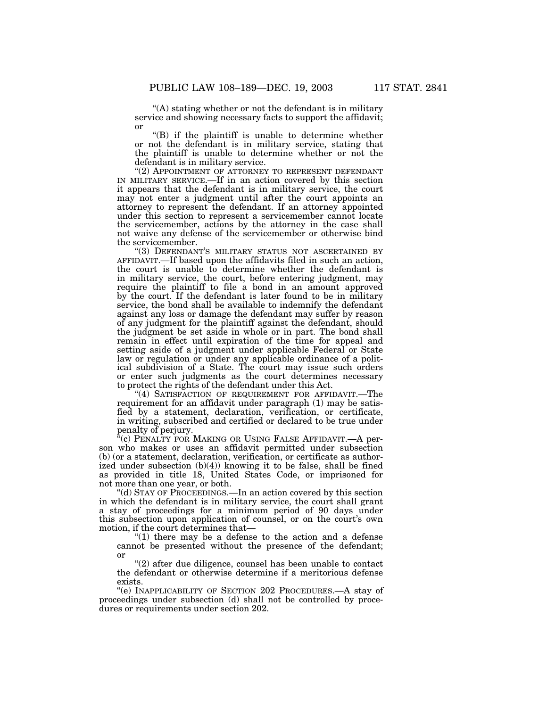''(A) stating whether or not the defendant is in military service and showing necessary facts to support the affidavit; or

 $E(E)$  if the plaintiff is unable to determine whether or not the defendant is in military service, stating that the plaintiff is unable to determine whether or not the defendant is in military service.

"(2) APPOINTMENT OF ATTORNEY TO REPRESENT DEFENDANT IN MILITARY SERVICE.—If in an action covered by this section it appears that the defendant is in military service, the court may not enter a judgment until after the court appoints an attorney to represent the defendant. If an attorney appointed under this section to represent a servicemember cannot locate the servicemember, actions by the attorney in the case shall not waive any defense of the servicemember or otherwise bind the servicemember.

''(3) DEFENDANT'S MILITARY STATUS NOT ASCERTAINED BY AFFIDAVIT.—If based upon the affidavits filed in such an action, the court is unable to determine whether the defendant is in military service, the court, before entering judgment, may require the plaintiff to file a bond in an amount approved by the court. If the defendant is later found to be in military service, the bond shall be available to indemnify the defendant against any loss or damage the defendant may suffer by reason of any judgment for the plaintiff against the defendant, should the judgment be set aside in whole or in part. The bond shall remain in effect until expiration of the time for appeal and setting aside of a judgment under applicable Federal or State law or regulation or under any applicable ordinance of a political subdivision of a State. The court may issue such orders or enter such judgments as the court determines necessary to protect the rights of the defendant under this Act.

"(4) SATISFACTION OF REQUIREMENT FOR AFFIDAVIT.-The requirement for an affidavit under paragraph (1) may be satisfied by a statement, declaration, verification, or certificate, in writing, subscribed and certified or declared to be true under penalty of perjury.

<sup>'(c)</sup> PENALTY FOR MAKING OR USING FALSE AFFIDAVIT.—A person who makes or uses an affidavit permitted under subsection (b) (or a statement, declaration, verification, or certificate as authorized under subsection (b)(4)) knowing it to be false, shall be fined as provided in title 18, United States Code, or imprisoned for not more than one year, or both.

''(d) STAY OF PROCEEDINGS.—In an action covered by this section in which the defendant is in military service, the court shall grant a stay of proceedings for a minimum period of 90 days under this subsection upon application of counsel, or on the court's own motion, if the court determines that—

" $(1)$  there may be a defense to the action and a defense cannot be presented without the presence of the defendant; or

"(2) after due diligence, counsel has been unable to contact the defendant or otherwise determine if a meritorious defense exists.

''(e) INAPPLICABILITY OF SECTION 202 PROCEDURES.—A stay of proceedings under subsection (d) shall not be controlled by procedures or requirements under section 202.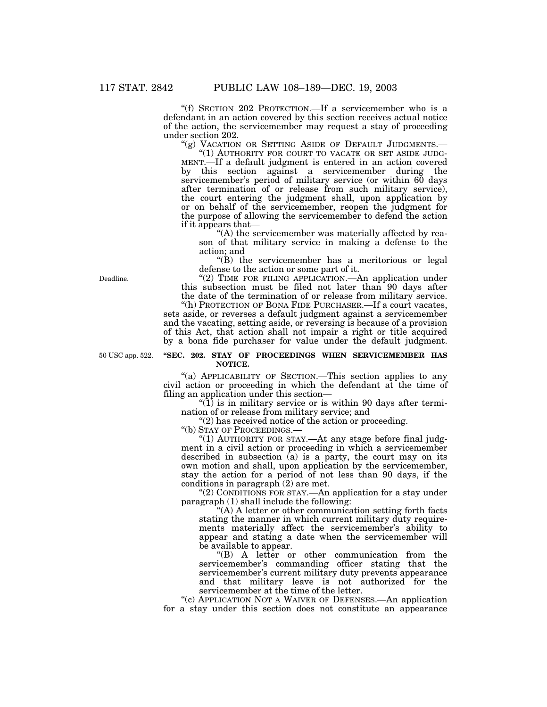''(f) SECTION 202 PROTECTION.—If a servicemember who is a defendant in an action covered by this section receives actual notice of the action, the servicemember may request a stay of proceeding under section 202.<br>
"(g) VACATION OR SETTING ASIDE OF DEFAULT JUDGMENTS.—

"(1) AUTHORITY FOR COURT TO VACATE OR SET ASIDE JUDG-<br>MENT.—If a default judgment is entered in an action covered by this section against a servicemember during the servicemember's period of military service (or within 60 days after termination of or release from such military service), the court entering the judgment shall, upon application by or on behalf of the servicemember, reopen the judgment for the purpose of allowing the servicemember to defend the action if it appears that—

''(A) the servicemember was materially affected by reason of that military service in making a defense to the action; and

''(B) the servicemember has a meritorious or legal defense to the action or some part of it.

''(2) TIME FOR FILING APPLICATION.—An application under this subsection must be filed not later than 90 days after the date of the termination of or release from military service.

''(h) PROTECTION OF BONA FIDE PURCHASER.—If a court vacates, sets aside, or reverses a default judgment against a servicemember and the vacating, setting aside, or reversing is because of a provision of this Act, that action shall not impair a right or title acquired by a bona fide purchaser for value under the default judgment.

50 USC app. 522.

### **''SEC. 202. STAY OF PROCEEDINGS WHEN SERVICEMEMBER HAS NOTICE.**

"(a) APPLICABILITY OF SECTION.—This section applies to any civil action or proceeding in which the defendant at the time of filing an application under this section—

" $(1)$  is in military service or is within 90 days after termination of or release from military service; and

"(2) has received notice of the action or proceeding.

''(b) STAY OF PROCEEDINGS.—

''(1) AUTHORITY FOR STAY.—At any stage before final judgment in a civil action or proceeding in which a servicemember described in subsection (a) is a party, the court may on its own motion and shall, upon application by the servicemember, stay the action for a period of not less than 90 days, if the conditions in paragraph (2) are met.

''(2) CONDITIONS FOR STAY.—An application for a stay under paragraph (1) shall include the following:

''(A) A letter or other communication setting forth facts stating the manner in which current military duty requirements materially affect the servicemember's ability to appear and stating a date when the servicemember will be available to appear.

''(B) A letter or other communication from the servicemember's commanding officer stating that the servicemember's current military duty prevents appearance and that military leave is not authorized for the servicemember at the time of the letter.

''(c) APPLICATION NOT A WAIVER OF DEFENSES.—An application for a stay under this section does not constitute an appearance

Deadline.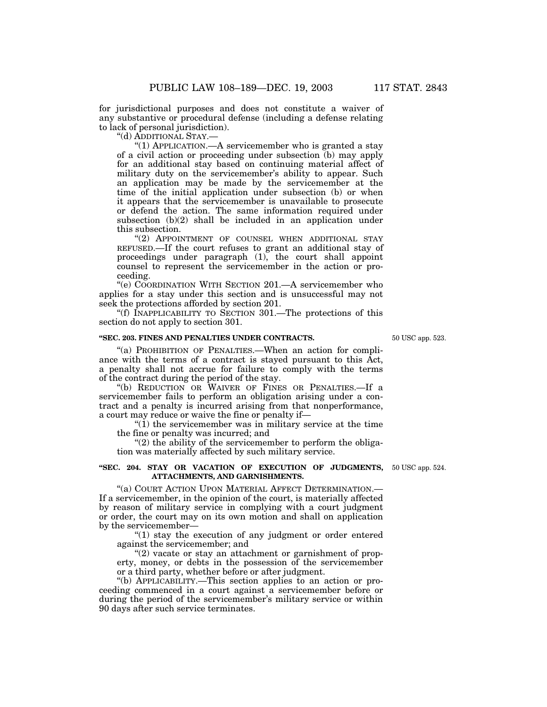for jurisdictional purposes and does not constitute a waiver of any substantive or procedural defense (including a defense relating to lack of personal jurisdiction).

''(d) ADDITIONAL STAY.—

''(1) APPLICATION.—A servicemember who is granted a stay of a civil action or proceeding under subsection (b) may apply for an additional stay based on continuing material affect of military duty on the servicemember's ability to appear. Such an application may be made by the servicemember at the time of the initial application under subsection (b) or when it appears that the servicemember is unavailable to prosecute or defend the action. The same information required under subsection (b)(2) shall be included in an application under this subsection.

"(2) APPOINTMENT OF COUNSEL WHEN ADDITIONAL STAY REFUSED.—If the court refuses to grant an additional stay of proceedings under paragraph (1), the court shall appoint counsel to represent the servicemember in the action or proceeding.

''(e) COORDINATION WITH SECTION 201.—A servicemember who applies for a stay under this section and is unsuccessful may not seek the protections afforded by section 201.

''(f) INAPPLICABILITY TO SECTION 301.—The protections of this section do not apply to section 301.

# **''SEC. 203. FINES AND PENALTIES UNDER CONTRACTS.**

50 USC app. 523.

''(a) PROHIBITION OF PENALTIES.—When an action for compliance with the terms of a contract is stayed pursuant to this Act, a penalty shall not accrue for failure to comply with the terms of the contract during the period of the stay.

''(b) REDUCTION OR WAIVER OF FINES OR PENALTIES.—If a servicemember fails to perform an obligation arising under a contract and a penalty is incurred arising from that nonperformance, a court may reduce or waive the fine or penalty if—

 $(1)$  the servicemember was in military service at the time the fine or penalty was incurred; and

" $(2)$  the ability of the servicemember to perform the obligation was materially affected by such military service.

### **''SEC. 204. STAY OR VACATION OF EXECUTION OF JUDGMENTS,** 50 USC app. 524. **ATTACHMENTS, AND GARNISHMENTS.**

''(a) COURT ACTION UPON MATERIAL AFFECT DETERMINATION.— If a servicemember, in the opinion of the court, is materially affected by reason of military service in complying with a court judgment or order, the court may on its own motion and shall on application by the servicemember—

''(1) stay the execution of any judgment or order entered against the servicemember; and

" $(2)$  vacate or stay an attachment or garnishment of property, money, or debts in the possession of the servicemember or a third party, whether before or after judgment.

''(b) APPLICABILITY.—This section applies to an action or proceeding commenced in a court against a servicemember before or during the period of the servicemember's military service or within 90 days after such service terminates.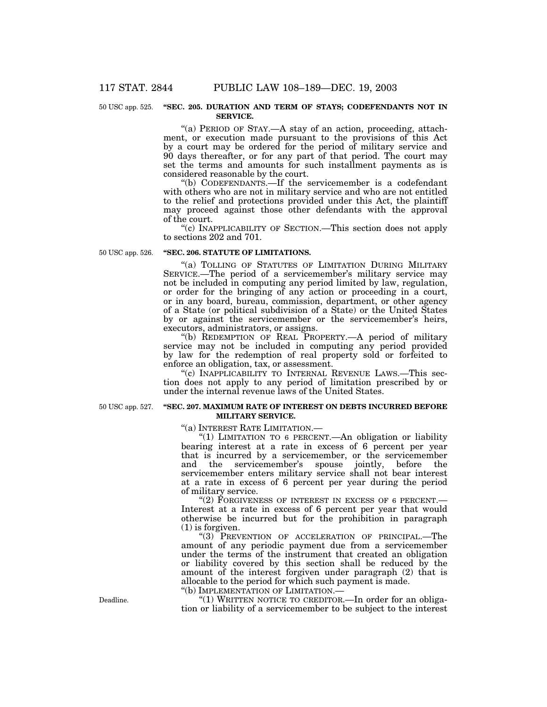### 50 USC app. 525. **"SEC. 205. DURATION AND TERM OF STAYS; CODEFENDANTS NOT IN SERVICE.**

"(a) PERIOD OF STAY.—A stay of an action, proceeding, attachment, or execution made pursuant to the provisions of this Act by a court may be ordered for the period of military service and 90 days thereafter, or for any part of that period. The court may set the terms and amounts for such installment payments as is considered reasonable by the court.

''(b) CODEFENDANTS.—If the servicemember is a codefendant with others who are not in military service and who are not entitled to the relief and protections provided under this Act, the plaintiff may proceed against those other defendants with the approval of the court.

''(c) INAPPLICABILITY OF SECTION.—This section does not apply to sections 202 and 701.

50 USC app. 526.

### **''SEC. 206. STATUTE OF LIMITATIONS.**

"(a) TOLLING OF STATUTES OF LIMITATION DURING MILITARY SERVICE.—The period of a servicemember's military service may not be included in computing any period limited by law, regulation, or order for the bringing of any action or proceeding in a court, or in any board, bureau, commission, department, or other agency of a State (or political subdivision of a State) or the United States by or against the servicemember or the servicemember's heirs, executors, administrators, or assigns.

''(b) REDEMPTION OF REAL PROPERTY.—A period of military service may not be included in computing any period provided by law for the redemption of real property sold or forfeited to enforce an obligation, tax, or assessment.

"(c) INAPPLICABILITY TO INTERNAL REVENUE LAWS.—This section does not apply to any period of limitation prescribed by or under the internal revenue laws of the United States.

50 USC app. 527.

### **''SEC. 207. MAXIMUM RATE OF INTEREST ON DEBTS INCURRED BEFORE MILITARY SERVICE.**

''(a) INTEREST RATE LIMITATION.—

''(1) LIMITATION TO 6 PERCENT.—An obligation or liability bearing interest at a rate in excess of 6 percent per year that is incurred by a servicemember, or the servicemember and the servicemember's spouse jointly, before the servicemember enters military service shall not bear interest at a rate in excess of 6 percent per year during the period of military service.

"(2) FORGIVENESS OF INTEREST IN EXCESS OF 6 PERCENT. Interest at a rate in excess of 6 percent per year that would otherwise be incurred but for the prohibition in paragraph (1) is forgiven.

"(3) PREVENTION OF ACCELERATION OF PRINCIPAL.—The amount of any periodic payment due from a servicemember under the terms of the instrument that created an obligation or liability covered by this section shall be reduced by the amount of the interest forgiven under paragraph (2) that is allocable to the period for which such payment is made.

''(b) IMPLEMENTATION OF LIMITATION.—

"(1) WRITTEN NOTICE TO CREDITOR.—In order for an obligation or liability of a servicemember to be subject to the interest

Deadline.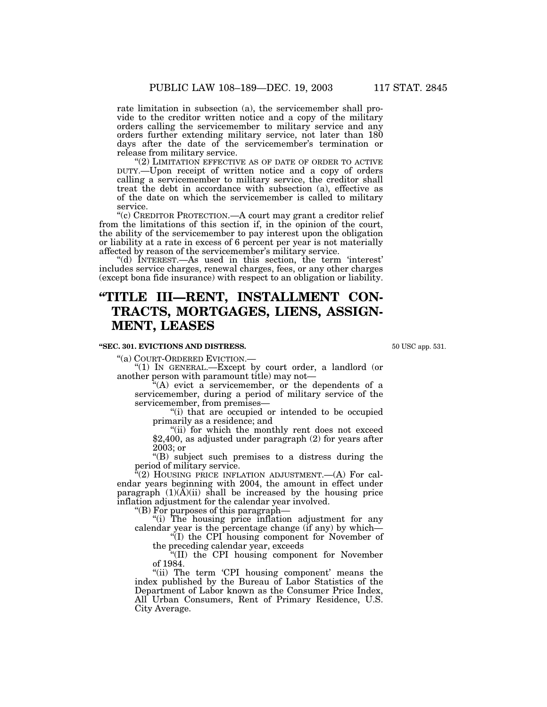rate limitation in subsection (a), the servicemember shall provide to the creditor written notice and a copy of the military orders calling the servicemember to military service and any orders further extending military service, not later than 180 days after the date of the servicemember's termination or release from military service.

"(2) LIMITATION EFFECTIVE AS OF DATE OF ORDER TO ACTIVE DUTY.—Upon receipt of written notice and a copy of orders calling a servicemember to military service, the creditor shall treat the debt in accordance with subsection (a), effective as of the date on which the servicemember is called to military service.

"(c) CREDITOR PROTECTION.—A court may grant a creditor relief from the limitations of this section if, in the opinion of the court, the ability of the servicemember to pay interest upon the obligation or liability at a rate in excess of 6 percent per year is not materially affected by reason of the servicemember's military service.

''(d) INTEREST.—As used in this section, the term 'interest' includes service charges, renewal charges, fees, or any other charges (except bona fide insurance) with respect to an obligation or liability.

# **''TITLE III—RENT, INSTALLMENT CON-TRACTS, MORTGAGES, LIENS, ASSIGN-MENT, LEASES**

### **''SEC. 301. EVICTIONS AND DISTRESS.**

''(a) COURT-ORDERED EVICTION.—

''(1) IN GENERAL.—Except by court order, a landlord (or another person with paramount title) may not—

 $(A)$  evict a servicemember, or the dependents of a servicemember, during a period of military service of the servicemember, from premises—

"(i) that are occupied or intended to be occupied primarily as a residence; and

''(ii) for which the monthly rent does not exceed \$2,400, as adjusted under paragraph (2) for years after 2003; or

"(B) subject such premises to a distress during the period of military service.

 $\cdot^{\alpha}(2)$  Housing price inflation adjustment.—(A) For calendar years beginning with 2004, the amount in effect under paragraph  $(1)(\tilde{A})(ii)$  shall be increased by the housing price inflation adjustment for the calendar year involved.

''(B) For purposes of this paragraph—

"(i) The housing price inflation adjustment for any calendar year is the percentage change (if any) by which—

''(I) the CPI housing component for November of the preceding calendar year, exceeds

''(II) the CPI housing component for November of 1984.

"(ii) The term 'CPI housing component' means the index published by the Bureau of Labor Statistics of the Department of Labor known as the Consumer Price Index, All Urban Consumers, Rent of Primary Residence, U.S. City Average.

50 USC app. 531.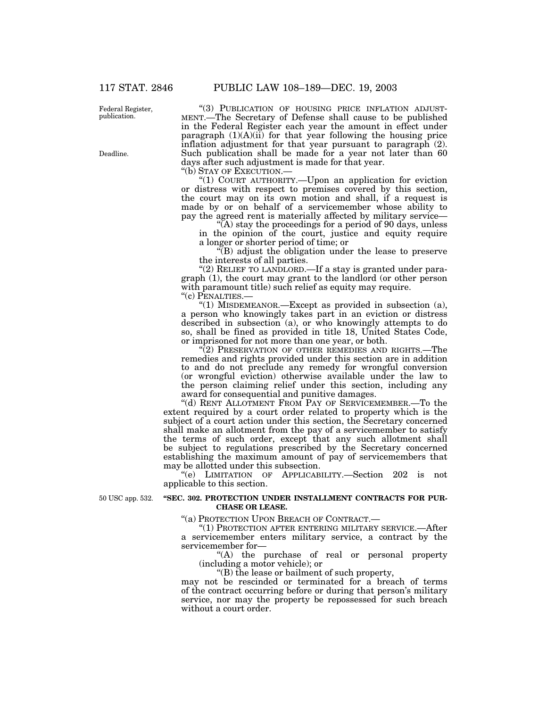Federal Register, publication.

Deadline.

''(3) PUBLICATION OF HOUSING PRICE INFLATION ADJUST- MENT.—The Secretary of Defense shall cause to be published in the Federal Register each year the amount in effect under paragraph  $(1)(A)(ii)$  for that year following the housing price inflation adjustment for that year pursuant to paragraph (2). Such publication shall be made for a year not later than 60 days after such adjustment is made for that year.

''(b) STAY OF EXECUTION.— ''(1) COURT AUTHORITY.—Upon an application for eviction or distress with respect to premises covered by this section, the court may on its own motion and shall, if a request is made by or on behalf of a servicemember whose ability to pay the agreed rent is materially affected by military service—

''(A) stay the proceedings for a period of 90 days, unless in the opinion of the court, justice and equity require a longer or shorter period of time; or

 $\sqrt{\ }$ (B) adjust the obligation under the lease to preserve the interests of all parties.

"(2) RELIEF TO LANDLORD.—If a stay is granted under paragraph (1), the court may grant to the landlord (or other person with paramount title) such relief as equity may require.

''(c) PENALTIES.—

"(1) MISDEMEANOR.—Except as provided in subsection (a), a person who knowingly takes part in an eviction or distress described in subsection (a), or who knowingly attempts to do so, shall be fined as provided in title 18, United States Code, or imprisoned for not more than one year, or both.

"(2) PRESERVATION OF OTHER REMEDIES AND RIGHTS.—The remedies and rights provided under this section are in addition to and do not preclude any remedy for wrongful conversion (or wrongful eviction) otherwise available under the law to the person claiming relief under this section, including any award for consequential and punitive damages.

''(d) RENT ALLOTMENT FROM PAY OF SERVICEMEMBER.—To the extent required by a court order related to property which is the subject of a court action under this section, the Secretary concerned shall make an allotment from the pay of a servicemember to satisfy the terms of such order, except that any such allotment shall be subject to regulations prescribed by the Secretary concerned establishing the maximum amount of pay of servicemembers that may be allotted under this subsection.

''(e) LIMITATION OF APPLICABILITY.—Section 202 is not applicable to this section.

50 USC app. 532.

### **''SEC. 302. PROTECTION UNDER INSTALLMENT CONTRACTS FOR PUR-CHASE OR LEASE.**

''(a) PROTECTION UPON BREACH OF CONTRACT.—

''(1) PROTECTION AFTER ENTERING MILITARY SERVICE.—After a servicemember enters military service, a contract by the servicemember for—

''(A) the purchase of real or personal property (including a motor vehicle); or

''(B) the lease or bailment of such property,

may not be rescinded or terminated for a breach of terms of the contract occurring before or during that person's military service, nor may the property be repossessed for such breach without a court order.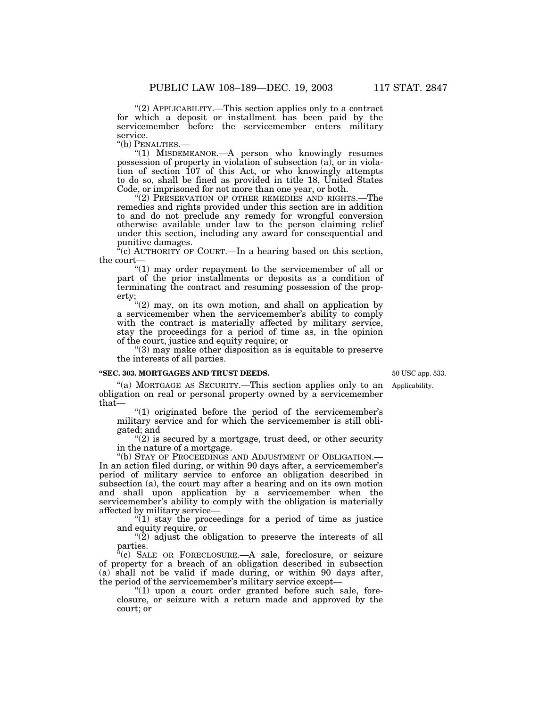''(2) APPLICABILITY.—This section applies only to a contract for which a deposit or installment has been paid by the servicemember before the servicemember enters military service.<br>"(b) PENALTIES.—

" $(1)$  MISDEMEANOR.—A person who knowingly resumes possession of property in violation of subsection (a), or in violation of section 107 of this Act, or who knowingly attempts to do so, shall be fined as provided in title 18, United States Code, or imprisoned for not more than one year, or both.

(2) PRESERVATION OF OTHER REMEDIES AND RIGHTS.—The remedies and rights provided under this section are in addition to and do not preclude any remedy for wrongful conversion otherwise available under law to the person claiming relief under this section, including any award for consequential and punitive damages.

 $\mathbb{F}(\mathfrak{c})$  AUTHORITY OF COURT.—In a hearing based on this section, the court—

"(1) may order repayment to the servicemember of all or part of the prior installments or deposits as a condition of terminating the contract and resuming possession of the property;

"(2) may, on its own motion, and shall on application by a servicemember when the servicemember's ability to comply with the contract is materially affected by military service, stay the proceedings for a period of time as, in the opinion of the court, justice and equity require; or

''(3) may make other disposition as is equitable to preserve the interests of all parties.

### **''SEC. 303. MORTGAGES AND TRUST DEEDS.**

50 USC app. 533.

''(a) MORTGAGE AS SECURITY.—This section applies only to an obligation on real or personal property owned by a servicemember that—

"(1) originated before the period of the servicemember's military service and for which the servicemember is still obligated; and

 $(2)$  is secured by a mortgage, trust deed, or other security in the nature of a mortgage.

''(b) STAY OF PROCEEDINGS AND ADJUSTMENT OF OBLIGATION.— In an action filed during, or within 90 days after, a servicemember's period of military service to enforce an obligation described in subsection (a), the court may after a hearing and on its own motion and shall upon application by a servicemember when the servicemember's ability to comply with the obligation is materially affected by military service—

 $(1)$  stay the proceedings for a period of time as justice and equity require, or

 $\degree$ (2) adjust the obligation to preserve the interests of all parties.

"(c) SALE OR FORECLOSURE.—A sale, foreclosure, or seizure of property for a breach of an obligation described in subsection (a) shall not be valid if made during, or within 90 days after, the period of the servicemember's military service except—

" $(1)$  upon a court order granted before such sale, foreclosure, or seizure with a return made and approved by the court; or

Applicability.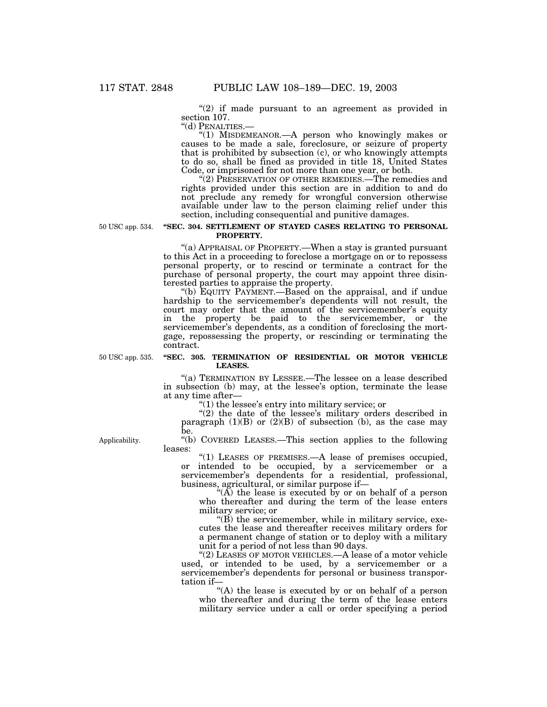" $(2)$  if made pursuant to an agreement as provided in section 107.<br>"(d) PENALTIES.-

"(1) MISDEMEANOR.—A person who knowingly makes or causes to be made a sale, foreclosure, or seizure of property that is prohibited by subsection (c), or who knowingly attempts to do so, shall be fined as provided in title 18, United States Code, or imprisoned for not more than one year, or both.

(2) PRESERVATION OF OTHER REMEDIES.—The remedies and rights provided under this section are in addition to and do not preclude any remedy for wrongful conversion otherwise available under law to the person claiming relief under this section, including consequential and punitive damages.

50 USC app. 534.

### **''SEC. 304. SETTLEMENT OF STAYED CASES RELATING TO PERSONAL PROPERTY.**

''(a) APPRAISAL OF PROPERTY.—When a stay is granted pursuant to this Act in a proceeding to foreclose a mortgage on or to repossess personal property, or to rescind or terminate a contract for the purchase of personal property, the court may appoint three disinterested parties to appraise the property.

''(b) EQUITY PAYMENT.—Based on the appraisal, and if undue hardship to the servicemember's dependents will not result, the court may order that the amount of the servicemember's equity in the property be paid to the servicemember, or the servicemember's dependents, as a condition of foreclosing the mortgage, repossessing the property, or rescinding or terminating the contract.

50 USC app. 535.

### **''SEC. 305. TERMINATION OF RESIDENTIAL OR MOTOR VEHICLE LEASES.**

"(a) TERMINATION BY LESSEE.-The lessee on a lease described in subsection (b) may, at the lessee's option, terminate the lease at any time after—

 $''(1)$  the lessee's entry into military service; or

"(2) the date of the lessee's military orders described in paragraph  $(1)(B)$  or  $(2)(B)$  of subsection  $(b)$ , as the case may be.

Applicability.

''(b) COVERED LEASES.—This section applies to the following leases:

"(1) LEASES OF PREMISES.—A lease of premises occupied, or intended to be occupied, by a servicemember or a servicemember's dependents for a residential, professional, business, agricultural, or similar purpose if—

 $\mathcal{H}(\mathbf{A})$  the lease is executed by or on behalf of a person who thereafter and during the term of the lease enters military service; or

 $\mathrm{``(B)}$  the servicemember, while in military service, executes the lease and thereafter receives military orders for a permanent change of station or to deploy with a military unit for a period of not less than 90 days.

"(2) LEASES OF MOTOR VEHICLES.—A lease of a motor vehicle used, or intended to be used, by a servicemember or a servicemember's dependents for personal or business transportation if—

"(A) the lease is executed by or on behalf of a person" who thereafter and during the term of the lease enters military service under a call or order specifying a period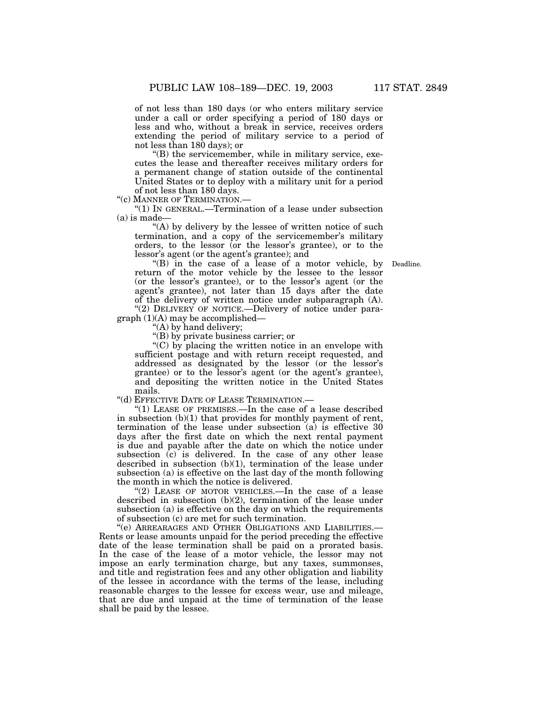of not less than 180 days (or who enters military service under a call or order specifying a period of 180 days or less and who, without a break in service, receives orders extending the period of military service to a period of not less than 180 days); or

''(B) the servicemember, while in military service, executes the lease and thereafter receives military orders for a permanent change of station outside of the continental United States or to deploy with a military unit for a period of not less than 180 days.

''(c) MANNER OF TERMINATION.—

''(1) IN GENERAL.—Termination of a lease under subsection (a) is made—

"(A) by delivery by the lessee of written notice of such termination, and a copy of the servicemember's military orders, to the lessor (or the lessor's grantee), or to the lessor's agent (or the agent's grantee); and

Deadline.

''(B) in the case of a lease of a motor vehicle, by return of the motor vehicle by the lessee to the lessor (or the lessor's grantee), or to the lessor's agent (or the agent's grantee), not later than 15 days after the date of the delivery of written notice under subparagraph (A).

"(2) DELIVERY OF NOTICE.-Delivery of notice under para $graph (1)(A)$  may be accomplished–

''(A) by hand delivery;

''(B) by private business carrier; or

''(C) by placing the written notice in an envelope with sufficient postage and with return receipt requested, and addressed as designated by the lessor (or the lessor's grantee) or to the lessor's agent (or the agent's grantee), and depositing the written notice in the United States mails.

''(d) EFFECTIVE DATE OF LEASE TERMINATION.—

''(1) LEASE OF PREMISES.—In the case of a lease described in subsection  $(b)(1)$  that provides for monthly payment of rent, termination of the lease under subsection (a) is effective 30 days after the first date on which the next rental payment is due and payable after the date on which the notice under subsection (c) is delivered. In the case of any other lease described in subsection  $(b)(1)$ , termination of the lease under subsection (a) is effective on the last day of the month following the month in which the notice is delivered.

"(2) LEASE OF MOTOR VEHICLES.—In the case of a lease described in subsection (b)(2), termination of the lease under subsection (a) is effective on the day on which the requirements of subsection (c) are met for such termination.

''(e) ARREARAGES AND OTHER OBLIGATIONS AND LIABILITIES.— Rents or lease amounts unpaid for the period preceding the effective date of the lease termination shall be paid on a prorated basis. In the case of the lease of a motor vehicle, the lessor may not impose an early termination charge, but any taxes, summonses, and title and registration fees and any other obligation and liability of the lessee in accordance with the terms of the lease, including reasonable charges to the lessee for excess wear, use and mileage, that are due and unpaid at the time of termination of the lease shall be paid by the lessee.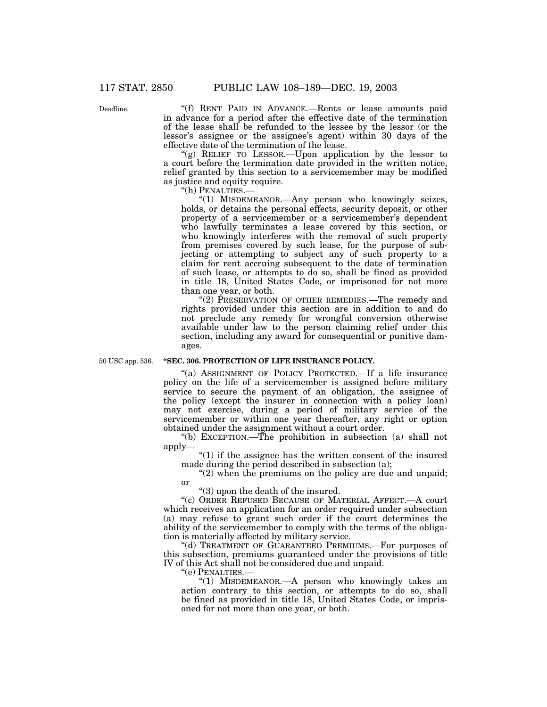Deadline.

''(f) RENT PAID IN ADVANCE.—Rents or lease amounts paid in advance for a period after the effective date of the termination of the lease shall be refunded to the lessee by the lessor (or the lessor's assignee or the assignee's agent) within 30 days of the effective date of the termination of the lease.

''(g) RELIEF TO LESSOR.—Upon application by the lessor to a court before the termination date provided in the written notice, relief granted by this section to a servicemember may be modified as justice and equity require.

''(h) PENALTIES.—

''(1) MISDEMEANOR.—Any person who knowingly seizes, holds, or detains the personal effects, security deposit, or other property of a servicemember or a servicemember's dependent who lawfully terminates a lease covered by this section, or who knowingly interferes with the removal of such property from premises covered by such lease, for the purpose of subjecting or attempting to subject any of such property to a claim for rent accruing subsequent to the date of termination of such lease, or attempts to do so, shall be fined as provided in title 18, United States Code, or imprisoned for not more than one year, or both.

"(2) PRESERVATION OF OTHER REMEDIES.—The remedy and rights provided under this section are in addition to and do not preclude any remedy for wrongful conversion otherwise available under law to the person claiming relief under this section, including any award for consequential or punitive damages.

50 USC app. 536.

## **''SEC. 306. PROTECTION OF LIFE INSURANCE POLICY.**

"(a) ASSIGNMENT OF POLICY PROTECTED.—If a life insurance policy on the life of a servicemember is assigned before military service to secure the payment of an obligation, the assignee of the policy (except the insurer in connection with a policy loan) may not exercise, during a period of military service of the servicemember or within one year thereafter, any right or option obtained under the assignment without a court order.

''(b) EXCEPTION.—The prohibition in subsection (a) shall not apply—

 $''(1)$  if the assignee has the written consent of the insured made during the period described in subsection (a);

" $(2)$  when the premiums on the policy are due and unpaid; or

''(3) upon the death of the insured.

''(c) ORDER REFUSED BECAUSE OF MATERIAL AFFECT.—A court which receives an application for an order required under subsection (a) may refuse to grant such order if the court determines the ability of the servicemember to comply with the terms of the obligation is materially affected by military service.

"(d) TREATMENT OF GUARANTEED PREMIUMS.-For purposes of this subsection, premiums guaranteed under the provisions of title IV of this Act shall not be considered due and unpaid.

''(e) PENALTIES.—

''(1) MISDEMEANOR.—A person who knowingly takes an action contrary to this section, or attempts to do so, shall be fined as provided in title 18, United States Code, or imprisoned for not more than one year, or both.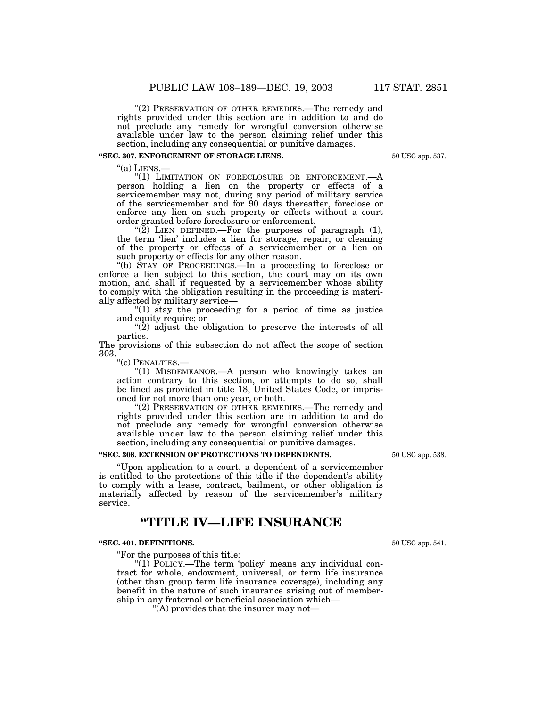"(2) PRESERVATION OF OTHER REMEDIES.—The remedy and rights provided under this section are in addition to and do not preclude any remedy for wrongful conversion otherwise available under law to the person claiming relief under this section, including any consequential or punitive damages.

## **''SEC. 307. ENFORCEMENT OF STORAGE LIENS.**

"(a) LIENS.—<br>"(1) LIMITATION ON FORECLOSURE OR ENFORCEMENT.—A person holding a lien on the property or effects of a servicemember may not, during any period of military service of the servicemember and for 90 days thereafter, foreclose or enforce any lien on such property or effects without a court order granted before foreclosure or enforcement.

"(2) LIEN DEFINED.—For the purposes of paragraph  $(1)$ , the term 'lien' includes a lien for storage, repair, or cleaning of the property or effects of a servicemember or a lien on such property or effects for any other reason.

''(b) STAY OF PROCEEDINGS.—In a proceeding to foreclose or enforce a lien subject to this section, the court may on its own motion, and shall if requested by a servicemember whose ability to comply with the obligation resulting in the proceeding is materially affected by military service—

''(1) stay the proceeding for a period of time as justice and equity require; or

''(2) adjust the obligation to preserve the interests of all parties.

The provisions of this subsection do not affect the scope of section 303.  $"$ (c) PENALTIES.-

" $(1)$  MISDEMEANOR.—A person who knowingly takes an action contrary to this section, or attempts to do so, shall be fined as provided in title 18, United States Code, or imprisoned for not more than one year, or both.

"(2) PRESERVATION OF OTHER REMEDIES.—The remedy and rights provided under this section are in addition to and do not preclude any remedy for wrongful conversion otherwise available under law to the person claiming relief under this section, including any consequential or punitive damages.

### **''SEC. 308. EXTENSION OF PROTECTIONS TO DEPENDENTS.**

''Upon application to a court, a dependent of a servicemember is entitled to the protections of this title if the dependent's ability to comply with a lease, contract, bailment, or other obligation is materially affected by reason of the servicemember's military service.

# **''TITLE IV—LIFE INSURANCE**

### **''SEC. 401. DEFINITIONS.**

''For the purposes of this title:

"(1) POLICY.—The term 'policy' means any individual contract for whole, endowment, universal, or term life insurance (other than group term life insurance coverage), including any benefit in the nature of such insurance arising out of membership in any fraternal or beneficial association which—

"(A) provides that the insurer may not—

50 USC app. 538.

50 USC app. 537.

50 USC app. 541.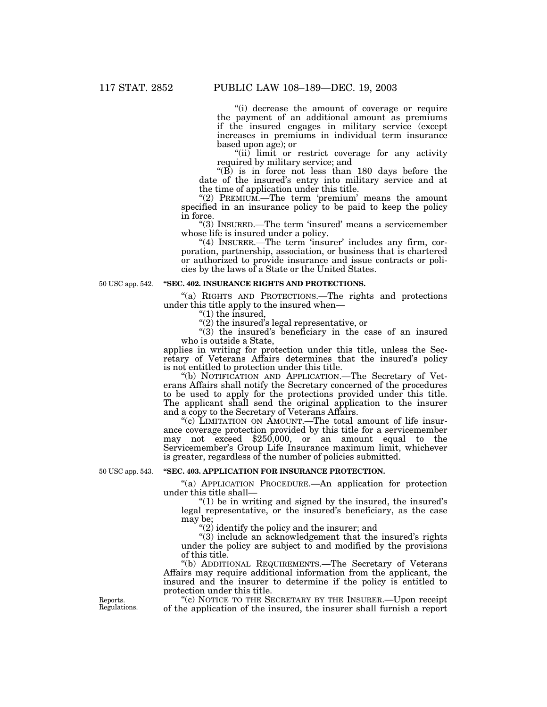''(i) decrease the amount of coverage or require the payment of an additional amount as premiums if the insured engages in military service (except increases in premiums in individual term insurance based upon age); or

"(ii) limit or restrict coverage for any activity required by military service; and

 $($  $\overrightarrow{B}$ ) is in force not less than 180 days before the date of the insured's entry into military service and at the time of application under this title.

"(2) PREMIUM.—The term 'premium' means the amount specified in an insurance policy to be paid to keep the policy in force.

''(3) INSURED.—The term 'insured' means a servicemember whose life is insured under a policy.

"(4) INSURER.—The term 'insurer' includes any firm, corporation, partnership, association, or business that is chartered or authorized to provide insurance and issue contracts or policies by the laws of a State or the United States.

50 USC app. 542.

## **''SEC. 402. INSURANCE RIGHTS AND PROTECTIONS.**

''(a) RIGHTS AND PROTECTIONS.—The rights and protections under this title apply to the insured when—

 $"(1)$  the insured,

" $(2)$  the insured's legal representative, or

''(3) the insured's beneficiary in the case of an insured who is outside a State,

applies in writing for protection under this title, unless the Secretary of Veterans Affairs determines that the insured's policy is not entitled to protection under this title.

''(b) NOTIFICATION AND APPLICATION.—The Secretary of Veterans Affairs shall notify the Secretary concerned of the procedures to be used to apply for the protections provided under this title. The applicant shall send the original application to the insurer and a copy to the Secretary of Veterans Affairs.

"(c) LIMITATION ON AMOUNT.—The total amount of life insurance coverage protection provided by this title for a servicemember may not exceed \$250,000, or an amount equal to the Servicemember's Group Life Insurance maximum limit, whichever is greater, regardless of the number of policies submitted.

50 USC app. 543.

## **''SEC. 403. APPLICATION FOR INSURANCE PROTECTION.**

''(a) APPLICATION PROCEDURE.—An application for protection under this title shall—

 $''(1)$  be in writing and signed by the insured, the insured's legal representative, or the insured's beneficiary, as the case may be;

 $(2)$  identify the policy and the insurer; and

"(3) include an acknowledgement that the insured's rights under the policy are subject to and modified by the provisions of this title.

''(b) ADDITIONAL REQUIREMENTS.—The Secretary of Veterans Affairs may require additional information from the applicant, the insured and the insurer to determine if the policy is entitled to protection under this title.

''(c) NOTICE TO THE SECRETARY BY THE INSURER.—Upon receipt of the application of the insured, the insurer shall furnish a report

Reports. Regulations.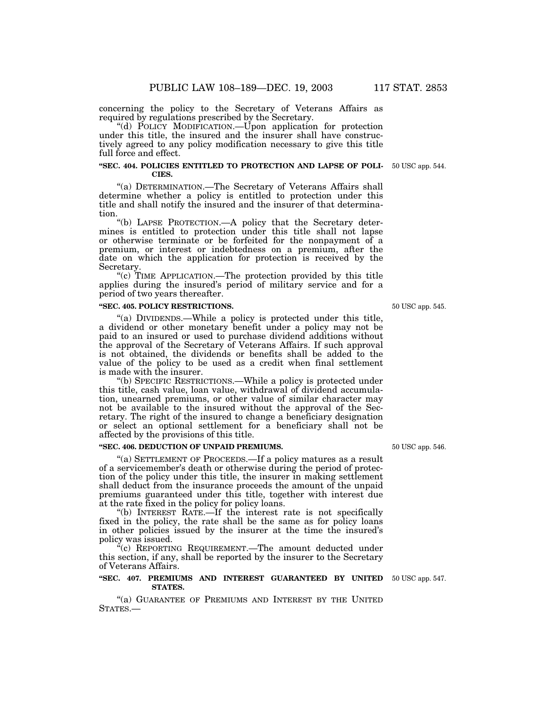concerning the policy to the Secretary of Veterans Affairs as required by regulations prescribed by the Secretary.

''(d) POLICY MODIFICATION.—Upon application for protection under this title, the insured and the insurer shall have constructively agreed to any policy modification necessary to give this title full force and effect.

### **''SEC. 404. POLICIES ENTITLED TO PROTECTION AND LAPSE OF POLI-**50 USC app. 544. **CIES.**

"(a) DETERMINATION.—The Secretary of Veterans Affairs shall determine whether a policy is entitled to protection under this title and shall notify the insured and the insurer of that determination.

''(b) LAPSE PROTECTION.—A policy that the Secretary determines is entitled to protection under this title shall not lapse or otherwise terminate or be forfeited for the nonpayment of a premium, or interest or indebtedness on a premium, after the date on which the application for protection is received by the Secretary.

''(c) TIME APPLICATION.—The protection provided by this title applies during the insured's period of military service and for a period of two years thereafter.

### **''SEC. 405. POLICY RESTRICTIONS.**

"(a) DIVIDENDS.—While a policy is protected under this title, a dividend or other monetary benefit under a policy may not be paid to an insured or used to purchase dividend additions without the approval of the Secretary of Veterans Affairs. If such approval is not obtained, the dividends or benefits shall be added to the value of the policy to be used as a credit when final settlement is made with the insurer.

''(b) SPECIFIC RESTRICTIONS.—While a policy is protected under this title, cash value, loan value, withdrawal of dividend accumulation, unearned premiums, or other value of similar character may not be available to the insured without the approval of the Secretary. The right of the insured to change a beneficiary designation or select an optional settlement for a beneficiary shall not be affected by the provisions of this title.

## **''SEC. 406. DEDUCTION OF UNPAID PREMIUMS.**

"(a) SETTLEMENT OF PROCEEDS.—If a policy matures as a result of a servicemember's death or otherwise during the period of protection of the policy under this title, the insurer in making settlement shall deduct from the insurance proceeds the amount of the unpaid premiums guaranteed under this title, together with interest due at the rate fixed in the policy for policy loans.

''(b) INTEREST RATE.—If the interest rate is not specifically fixed in the policy, the rate shall be the same as for policy loans in other policies issued by the insurer at the time the insured's policy was issued.

''(c) REPORTING REQUIREMENT.—The amount deducted under this section, if any, shall be reported by the insurer to the Secretary of Veterans Affairs.

### **''SEC. 407. PREMIUMS AND INTEREST GUARANTEED BY UNITED** 50 USC app. 547. **STATES.**

"(a) GUARANTEE OF PREMIUMS AND INTEREST BY THE UNITED STATES.—

50 USC app. 546.

50 USC app. 545.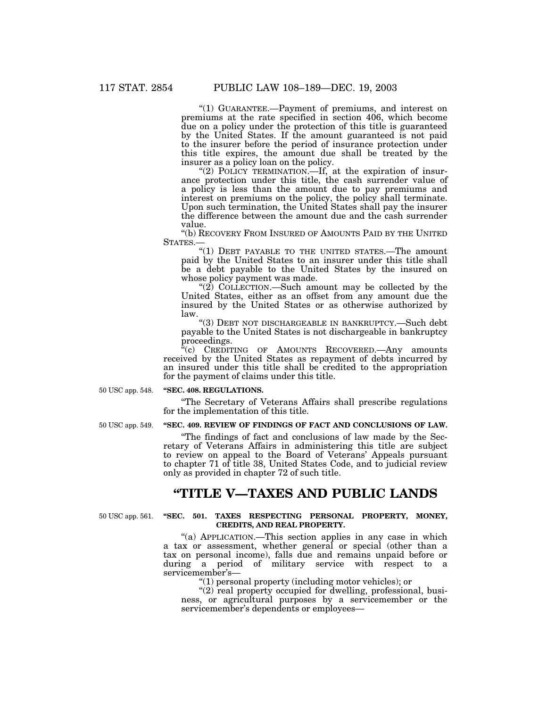''(1) GUARANTEE.—Payment of premiums, and interest on premiums at the rate specified in section 406, which become due on a policy under the protection of this title is guaranteed by the United States. If the amount guaranteed is not paid to the insurer before the period of insurance protection under this title expires, the amount due shall be treated by the insurer as a policy loan on the policy.

"(2) POLICY TERMINATION.—If, at the expiration of insurance protection under this title, the cash surrender value of a policy is less than the amount due to pay premiums and interest on premiums on the policy, the policy shall terminate. Upon such termination, the United States shall pay the insurer the difference between the amount due and the cash surrender value.

''(b) RECOVERY FROM INSURED OF AMOUNTS PAID BY THE UNITED STATES.—

"(1) DEBT PAYABLE TO THE UNITED STATES.—The amount paid by the United States to an insurer under this title shall be a debt payable to the United States by the insured on whose policy payment was made.

"(2) COLLECTION.—Such amount may be collected by the United States, either as an offset from any amount due the insured by the United States or as otherwise authorized by law.

"(3) DEBT NOT DISCHARGEABLE IN BANKRUPTCY.—Such debt payable to the United States is not dischargeable in bankruptcy proceedings.

"(c) CREDITING OF AMOUNTS RECOVERED.—Any amounts received by the United States as repayment of debts incurred by an insured under this title shall be credited to the appropriation for the payment of claims under this title.

50 USC app. 548.

### **''SEC. 408. REGULATIONS.**

''The Secretary of Veterans Affairs shall prescribe regulations for the implementation of this title.

#### **''SEC. 409. REVIEW OF FINDINGS OF FACT AND CONCLUSIONS OF LAW.** 50 USC app. 549.

''The findings of fact and conclusions of law made by the Secretary of Veterans Affairs in administering this title are subject to review on appeal to the Board of Veterans' Appeals pursuant to chapter 71 of title 38, United States Code, and to judicial review only as provided in chapter 72 of such title.

# **''TITLE V—TAXES AND PUBLIC LANDS**

50 USC app. 561.

### **''SEC. 501. TAXES RESPECTING PERSONAL PROPERTY, MONEY, CREDITS, AND REAL PROPERTY.**

"(a) APPLICATION.—This section applies in any case in which a tax or assessment, whether general or special (other than a tax on personal income), falls due and remains unpaid before or during a period of military service with respect to a servicemember's—

''(1) personal property (including motor vehicles); or

 $''(2)$  real property occupied for dwelling, professional, business, or agricultural purposes by a servicemember or the servicemember's dependents or employees—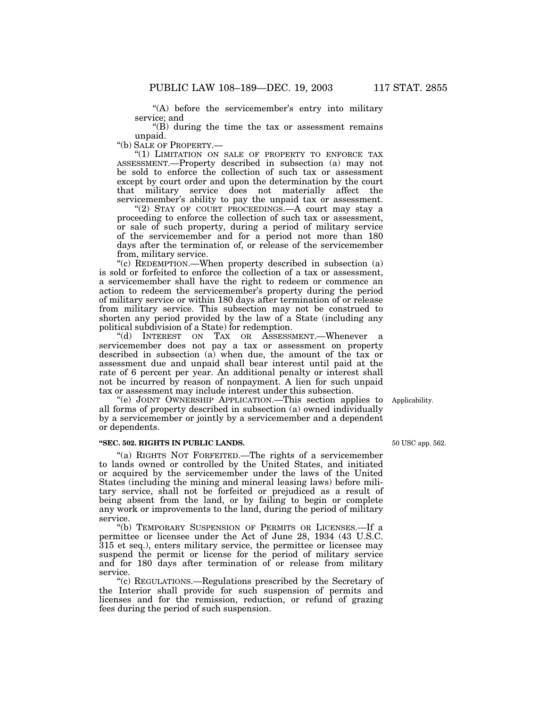"(A) before the servicemember's entry into military service; and

 $'(B)$  during the time the tax or assessment remains unpaid.

''(b) SALE OF PROPERTY.—

"(1) LIMITATION ON SALE OF PROPERTY TO ENFORCE TAX ASSESSMENT.—Property described in subsection (a) may not be sold to enforce the collection of such tax or assessment except by court order and upon the determination by the court that military service does not materially affect the servicemember's ability to pay the unpaid tax or assessment.

"(2) STAY OF COURT PROCEEDINGS.—A court may stay a proceeding to enforce the collection of such tax or assessment, or sale of such property, during a period of military service of the servicemember and for a period not more than 180 days after the termination of, or release of the servicemember from, military service.

''(c) REDEMPTION.—When property described in subsection (a) is sold or forfeited to enforce the collection of a tax or assessment, a servicemember shall have the right to redeem or commence an action to redeem the servicemember's property during the period of military service or within 180 days after termination of or release from military service. This subsection may not be construed to shorten any period provided by the law of a State (including any political subdivision of a State) for redemption.

''(d) INTEREST ON TAX OR ASSESSMENT.—Whenever a servicemember does not pay a tax or assessment on property described in subsection (a) when due, the amount of the tax or assessment due and unpaid shall bear interest until paid at the rate of 6 percent per year. An additional penalty or interest shall not be incurred by reason of nonpayment. A lien for such unpaid tax or assessment may include interest under this subsection.

''(e) JOINT OWNERSHIP APPLICATION.—This section applies to Applicability. all forms of property described in subsection (a) owned individually by a servicemember or jointly by a servicemember and a dependent or dependents.

## **''SEC. 502. RIGHTS IN PUBLIC LANDS.**

"(a) RIGHTS NOT FORFEITED.—The rights of a servicemember to lands owned or controlled by the United States, and initiated or acquired by the servicemember under the laws of the United States (including the mining and mineral leasing laws) before military service, shall not be forfeited or prejudiced as a result of being absent from the land, or by failing to begin or complete any work or improvements to the land, during the period of military service.

''(b) TEMPORARY SUSPENSION OF PERMITS OR LICENSES.—If a permittee or licensee under the Act of June 28, 1934 (43 U.S.C. 315 et seq.), enters military service, the permittee or licensee may suspend the permit or license for the period of military service and for 180 days after termination of or release from military service.

''(c) REGULATIONS.—Regulations prescribed by the Secretary of the Interior shall provide for such suspension of permits and licenses and for the remission, reduction, or refund of grazing fees during the period of such suspension.

50 USC app. 562.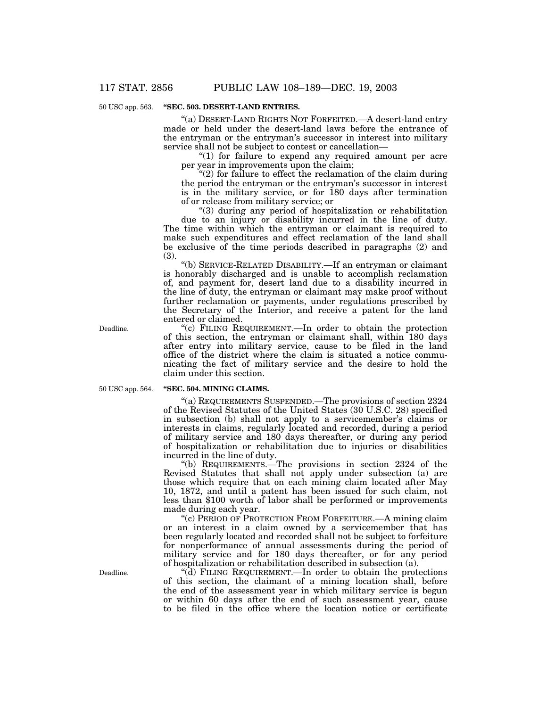50 USC app. 563.

## **''SEC. 503. DESERT-LAND ENTRIES.**

''(a) DESERT-LAND RIGHTS NOT FORFEITED.—A desert-land entry made or held under the desert-land laws before the entrance of the entryman or the entryman's successor in interest into military service shall not be subject to contest or cancellation—

"(1) for failure to expend any required amount per acre per year in improvements upon the claim;

" $(2)$  for failure to effect the reclamation of the claim during the period the entryman or the entryman's successor in interest is in the military service, or for 180 days after termination of or release from military service; or

''(3) during any period of hospitalization or rehabilitation due to an injury or disability incurred in the line of duty. The time within which the entryman or claimant is required to make such expenditures and effect reclamation of the land shall be exclusive of the time periods described in paragraphs (2) and (3).

''(b) SERVICE-RELATED DISABILITY.—If an entryman or claimant is honorably discharged and is unable to accomplish reclamation of, and payment for, desert land due to a disability incurred in the line of duty, the entryman or claimant may make proof without further reclamation or payments, under regulations prescribed by the Secretary of the Interior, and receive a patent for the land entered or claimed.

''(c) FILING REQUIREMENT.—In order to obtain the protection of this section, the entryman or claimant shall, within 180 days after entry into military service, cause to be filed in the land office of the district where the claim is situated a notice communicating the fact of military service and the desire to hold the claim under this section.

50 USC app. 564.

## **''SEC. 504. MINING CLAIMS.**

''(a) REQUIREMENTS SUSPENDED.—The provisions of section 2324 of the Revised Statutes of the United States (30 U.S.C. 28) specified in subsection (b) shall not apply to a servicemember's claims or interests in claims, regularly located and recorded, during a period of military service and 180 days thereafter, or during any period of hospitalization or rehabilitation due to injuries or disabilities incurred in the line of duty.

''(b) REQUIREMENTS.—The provisions in section 2324 of the Revised Statutes that shall not apply under subsection (a) are those which require that on each mining claim located after May 10, 1872, and until a patent has been issued for such claim, not less than \$100 worth of labor shall be performed or improvements made during each year.

''(c) PERIOD OF PROTECTION FROM FORFEITURE.—A mining claim or an interest in a claim owned by a servicemember that has been regularly located and recorded shall not be subject to forfeiture for nonperformance of annual assessments during the period of military service and for 180 days thereafter, or for any period of hospitalization or rehabilitation described in subsection (a).

''(d) FILING REQUIREMENT.—In order to obtain the protections of this section, the claimant of a mining location shall, before the end of the assessment year in which military service is begun or within 60 days after the end of such assessment year, cause to be filed in the office where the location notice or certificate

Deadline.

Deadline.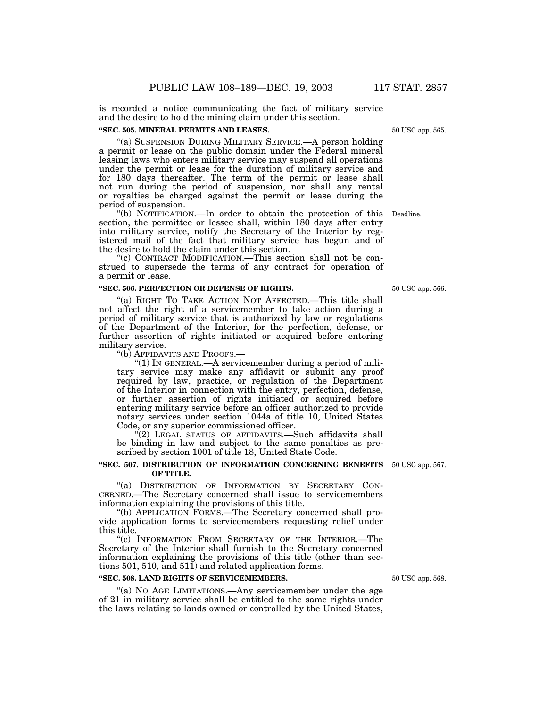is recorded a notice communicating the fact of military service and the desire to hold the mining claim under this section.

## **''SEC. 505. MINERAL PERMITS AND LEASES.**

''(a) SUSPENSION DURING MILITARY SERVICE.—A person holding a permit or lease on the public domain under the Federal mineral leasing laws who enters military service may suspend all operations under the permit or lease for the duration of military service and for 180 days thereafter. The term of the permit or lease shall not run during the period of suspension, nor shall any rental or royalties be charged against the permit or lease during the period of suspension.

''(b) NOTIFICATION.—In order to obtain the protection of this Deadline. section, the permittee or lessee shall, within 180 days after entry into military service, notify the Secretary of the Interior by registered mail of the fact that military service has begun and of the desire to hold the claim under this section.

''(c) CONTRACT MODIFICATION.—This section shall not be construed to supersede the terms of any contract for operation of a permit or lease.

### **''SEC. 506. PERFECTION OR DEFENSE OF RIGHTS.**

"(a) RIGHT TO TAKE ACTION NOT AFFECTED.—This title shall not affect the right of a servicemember to take action during a period of military service that is authorized by law or regulations of the Department of the Interior, for the perfection, defense, or further assertion of rights initiated or acquired before entering military service.

''(b) AFFIDAVITS AND PROOFS.—

''(1) IN GENERAL.—A servicemember during a period of military service may make any affidavit or submit any proof required by law, practice, or regulation of the Department of the Interior in connection with the entry, perfection, defense, or further assertion of rights initiated or acquired before entering military service before an officer authorized to provide notary services under section 1044a of title 10, United States Code, or any superior commissioned officer.

''(2) LEGAL STATUS OF AFFIDAVITS.—Such affidavits shall be binding in law and subject to the same penalties as prescribed by section 1001 of title 18, United State Code.

### **''SEC. 507. DISTRIBUTION OF INFORMATION CONCERNING BENEFITS** 50 USC app. 567. **OF TITLE.**

"(a) DISTRIBUTION OF INFORMATION BY SECRETARY CON-CERNED.—The Secretary concerned shall issue to servicemembers information explaining the provisions of this title.

''(b) APPLICATION FORMS.—The Secretary concerned shall provide application forms to servicemembers requesting relief under this title.

"(c) INFORMATION FROM SECRETARY OF THE INTERIOR.—The Secretary of the Interior shall furnish to the Secretary concerned information explaining the provisions of this title (other than sections 501, 510, and 511) and related application forms.

## **''SEC. 508. LAND RIGHTS OF SERVICEMEMBERS.**

"(a) No AGE LIMITATIONS.—Any servicemember under the age of 21 in military service shall be entitled to the same rights under the laws relating to lands owned or controlled by the United States,

50 USC app. 568.

50 USC app. 566.

50 USC app. 565.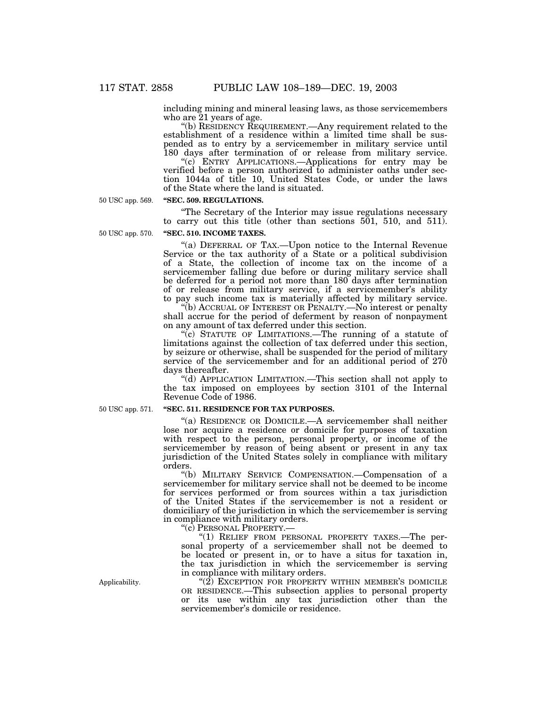including mining and mineral leasing laws, as those servicemembers who are 21 years of age.

''(b) RESIDENCY REQUIREMENT.—Any requirement related to the establishment of a residence within a limited time shall be suspended as to entry by a servicemember in military service until 180 days after termination of or release from military service.

"(c) ENTRY APPLICATIONS.—Applications for entry may be verified before a person authorized to administer oaths under section 1044a of title 10, United States Code, or under the laws of the State where the land is situated.

50 USC app. 569.

## **''SEC. 509. REGULATIONS.**

''The Secretary of the Interior may issue regulations necessary to carry out this title (other than sections 501, 510, and 511).

### **''SEC. 510. INCOME TAXES.**

''(a) DEFERRAL OF TAX.—Upon notice to the Internal Revenue Service or the tax authority of a State or a political subdivision of a State, the collection of income tax on the income of a servicemember falling due before or during military service shall be deferred for a period not more than 180 days after termination of or release from military service, if a servicemember's ability to pay such income tax is materially affected by military service.

''(b) ACCRUAL OF INTEREST OR PENALTY.—No interest or penalty shall accrue for the period of deferment by reason of nonpayment on any amount of tax deferred under this section.

''(c) STATUTE OF LIMITATIONS.—The running of a statute of limitations against the collection of tax deferred under this section, by seizure or otherwise, shall be suspended for the period of military service of the servicemember and for an additional period of 270 days thereafter.

''(d) APPLICATION LIMITATION.—This section shall not apply to the tax imposed on employees by section 3101 of the Internal Revenue Code of 1986.

50 USC app. 571.

Applicability.

## **''SEC. 511. RESIDENCE FOR TAX PURPOSES.**

''(a) RESIDENCE OR DOMICILE.—A servicemember shall neither lose nor acquire a residence or domicile for purposes of taxation with respect to the person, personal property, or income of the servicemember by reason of being absent or present in any tax jurisdiction of the United States solely in compliance with military orders.

''(b) MILITARY SERVICE COMPENSATION.—Compensation of a servicemember for military service shall not be deemed to be income for services performed or from sources within a tax jurisdiction of the United States if the servicemember is not a resident or domiciliary of the jurisdiction in which the servicemember is serving in compliance with military orders.

''(c) PERSONAL PROPERTY.—

"(1) RELIEF FROM PERSONAL PROPERTY TAXES.—The personal property of a servicemember shall not be deemed to be located or present in, or to have a situs for taxation in, the tax jurisdiction in which the servicemember is serving in compliance with military orders.

" $(2)$  EXCEPTION FOR PROPERTY WITHIN MEMBER'S DOMICILE OR RESIDENCE.—This subsection applies to personal property or its use within any tax jurisdiction other than the servicemember's domicile or residence.

50 USC app. 570.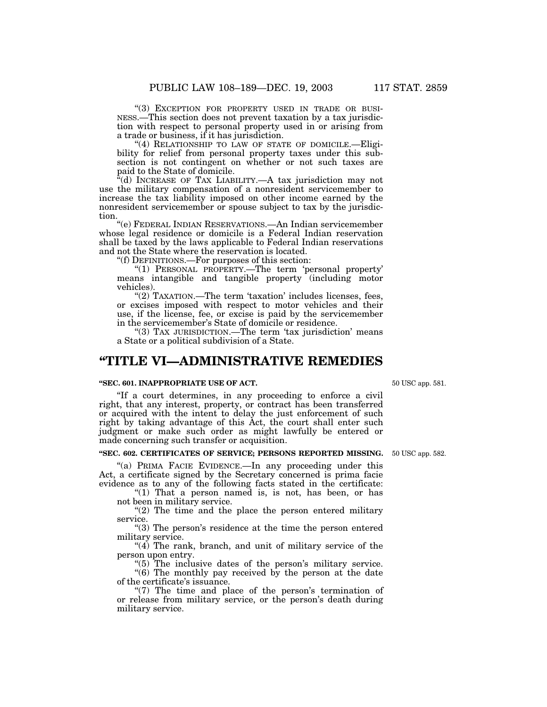''(3) EXCEPTION FOR PROPERTY USED IN TRADE OR BUSI- NESS.—This section does not prevent taxation by a tax jurisdiction with respect to personal property used in or arising from a trade or business, if it has jurisdiction.

"(4) RELATIONSHIP TO LAW OF STATE OF DOMICILE.—Eligibility for relief from personal property taxes under this subsection is not contingent on whether or not such taxes are paid to the State of domicile.

"(d) INCREASE OF TAX LIABILITY.—A tax jurisdiction may not use the military compensation of a nonresident servicemember to increase the tax liability imposed on other income earned by the nonresident servicemember or spouse subject to tax by the jurisdiction.

''(e) FEDERAL INDIAN RESERVATIONS.—An Indian servicemember whose legal residence or domicile is a Federal Indian reservation shall be taxed by the laws applicable to Federal Indian reservations and not the State where the reservation is located.

''(f) DEFINITIONS.—For purposes of this section:

''(1) PERSONAL PROPERTY.—The term 'personal property' means intangible and tangible property (including motor vehicles).

"(2) TAXATION.—The term 'taxation' includes licenses, fees, or excises imposed with respect to motor vehicles and their use, if the license, fee, or excise is paid by the servicemember in the servicemember's State of domicile or residence.

''(3) TAX JURISDICTION.—The term 'tax jurisdiction' means a State or a political subdivision of a State.

# **''TITLE VI—ADMINISTRATIVE REMEDIES**

### **''SEC. 601. INAPPROPRIATE USE OF ACT.**

''If a court determines, in any proceeding to enforce a civil right, that any interest, property, or contract has been transferred or acquired with the intent to delay the just enforcement of such right by taking advantage of this Act, the court shall enter such judgment or make such order as might lawfully be entered or made concerning such transfer or acquisition.

### **"SEC. 602. CERTIFICATES OF SERVICE; PERSONS REPORTED MISSING.** 50 USC app. 582.

"(a) PRIMA FACIE EVIDENCE.—In any proceeding under this Act, a certificate signed by the Secretary concerned is prima facie evidence as to any of the following facts stated in the certificate:

"(1) That a person named is, is not, has been, or has not been in military service.

"(2) The time and the place the person entered military service.

''(3) The person's residence at the time the person entered military service.

"(4) The rank, branch, and unit of military service of the person upon entry.

''(5) The inclusive dates of the person's military service.

''(6) The monthly pay received by the person at the date of the certificate's issuance.

" $(7)$  The time and place of the person's termination of or release from military service, or the person's death during military service.

50 USC app. 581.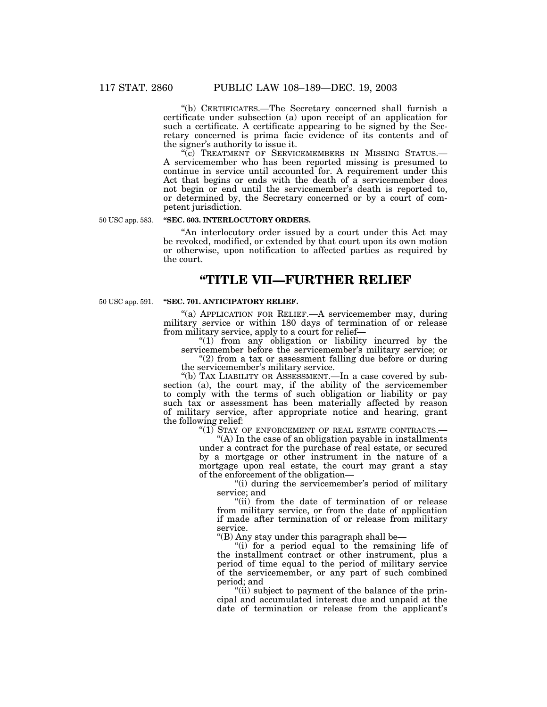''(b) CERTIFICATES.—The Secretary concerned shall furnish a certificate under subsection (a) upon receipt of an application for such a certificate. A certificate appearing to be signed by the Secretary concerned is prima facie evidence of its contents and of the signer's authority to issue it.<br>
"(c) TREATMENT OF SERVICEMEMBERS IN MISSING STATUS.—

A servicemember who has been reported missing is presumed to continue in service until accounted for. A requirement under this Act that begins or ends with the death of a servicemember does not begin or end until the servicemember's death is reported to, or determined by, the Secretary concerned or by a court of competent jurisdiction.

50 USC app. 583.

## **''SEC. 603. INTERLOCUTORY ORDERS.**

''An interlocutory order issued by a court under this Act may be revoked, modified, or extended by that court upon its own motion or otherwise, upon notification to affected parties as required by the court.

# **''TITLE VII—FURTHER RELIEF**

50 USC app. 591.

## **''SEC. 701. ANTICIPATORY RELIEF.**

"(a) APPLICATION FOR RELIEF.—A servicemember may, during military service or within 180 days of termination of or release from military service, apply to a court for relief—

''(1) from any obligation or liability incurred by the servicemember before the servicemember's military service; or

"(2) from a tax or assessment falling due before or during the servicemember's military service.

''(b) TAX LIABILITY OR ASSESSMENT.—In a case covered by subsection (a), the court may, if the ability of the servicemember to comply with the terms of such obligation or liability or pay such tax or assessment has been materially affected by reason of military service, after appropriate notice and hearing, grant the following relief:

"(1) STAY OF ENFORCEMENT OF REAL ESTATE CONTRACTS.-

''(A) In the case of an obligation payable in installments under a contract for the purchase of real estate, or secured by a mortgage or other instrument in the nature of a mortgage upon real estate, the court may grant a stay of the enforcement of the obligation—

"(i) during the servicemember's period of military" service; and

"(ii) from the date of termination of or release from military service, or from the date of application if made after termination of or release from military service.

''(B) Any stay under this paragraph shall be—

''(i) for a period equal to the remaining life of the installment contract or other instrument, plus a period of time equal to the period of military service of the servicemember, or any part of such combined period; and

"(ii) subject to payment of the balance of the principal and accumulated interest due and unpaid at the date of termination or release from the applicant's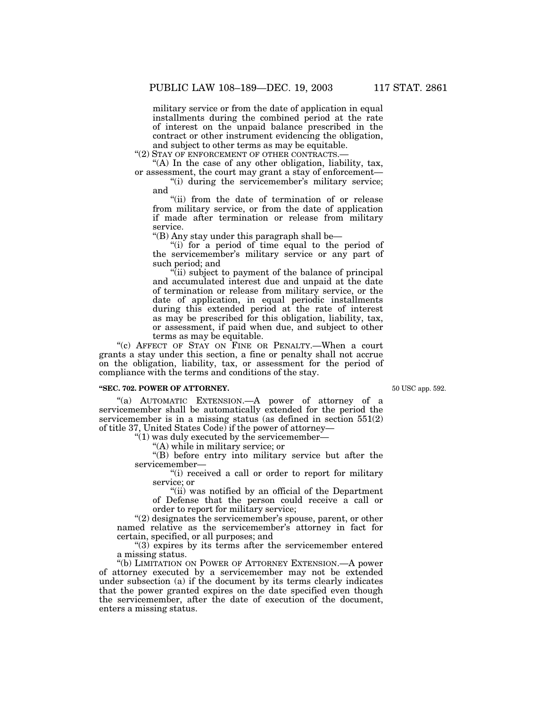military service or from the date of application in equal installments during the combined period at the rate of interest on the unpaid balance prescribed in the contract or other instrument evidencing the obligation, and subject to other terms as may be equitable.

''(2) STAY OF ENFORCEMENT OF OTHER CONTRACTS.—

''(A) In the case of any other obligation, liability, tax, or assessment, the court may grant a stay of enforcement—

"(i) during the servicemember's military service; and

''(ii) from the date of termination of or release from military service, or from the date of application if made after termination or release from military service.

''(B) Any stay under this paragraph shall be—

''(i) for a period of time equal to the period of the servicemember's military service or any part of such period; and

''(ii) subject to payment of the balance of principal and accumulated interest due and unpaid at the date of termination or release from military service, or the date of application, in equal periodic installments during this extended period at the rate of interest as may be prescribed for this obligation, liability, tax, or assessment, if paid when due, and subject to other terms as may be equitable.

"(c) AFFECT OF STAY ON FINE OR PENALTY.—When a court grants a stay under this section, a fine or penalty shall not accrue on the obligation, liability, tax, or assessment for the period of compliance with the terms and conditions of the stay.

### **''SEC. 702. POWER OF ATTORNEY.**

50 USC app. 592.

''(a) AUTOMATIC EXTENSION.—A power of attorney of a servicemember shall be automatically extended for the period the servicemember is in a missing status (as defined in section 551(2) of title 37, United States Code) if the power of attorney—

 $''(1)$  was duly executed by the servicemember—

''(A) while in military service; or

''(B) before entry into military service but after the servicemember—

''(i) received a call or order to report for military service; or

"(ii) was notified by an official of the Department of Defense that the person could receive a call or order to report for military service;

"(2) designates the servicemember's spouse, parent, or other named relative as the servicemember's attorney in fact for certain, specified, or all purposes; and

''(3) expires by its terms after the servicemember entered a missing status.

''(b) LIMITATION ON POWER OF ATTORNEY EXTENSION.—A power of attorney executed by a servicemember may not be extended under subsection (a) if the document by its terms clearly indicates that the power granted expires on the date specified even though the servicemember, after the date of execution of the document, enters a missing status.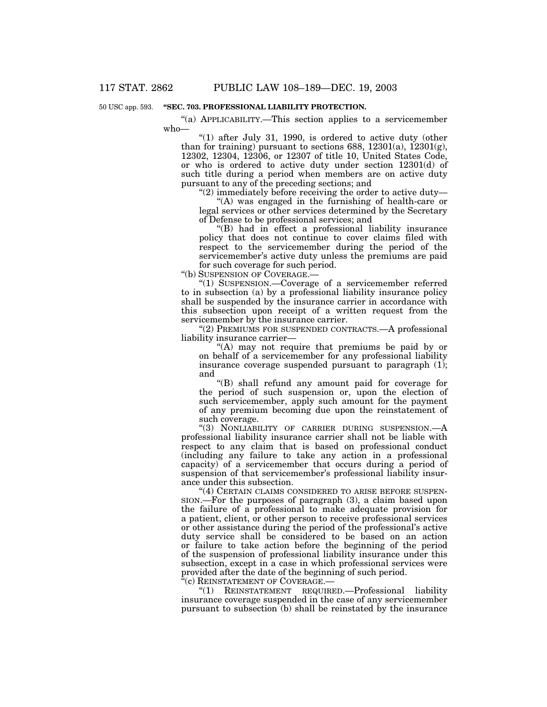50 USC app. 593.

### **''SEC. 703. PROFESSIONAL LIABILITY PROTECTION.**

''(a) APPLICABILITY.—This section applies to a servicemember who—

" $(1)$  after July 31, 1990, is ordered to active duty (other than for training) pursuant to sections 688, 12301(a), 12301(g), 12302, 12304, 12306, or 12307 of title 10, United States Code, or who is ordered to active duty under section 12301(d) of such title during a period when members are on active duty pursuant to any of the preceding sections; and

" $(2)$  immediately before receiving the order to active duty-''(A) was engaged in the furnishing of health-care or legal services or other services determined by the Secretary of Defense to be professional services; and

''(B) had in effect a professional liability insurance policy that does not continue to cover claims filed with respect to the servicemember during the period of the servicemember's active duty unless the premiums are paid for such coverage for such period.

''(b) SUSPENSION OF COVERAGE.—

''(1) SUSPENSION.—Coverage of a servicemember referred to in subsection (a) by a professional liability insurance policy shall be suspended by the insurance carrier in accordance with this subsection upon receipt of a written request from the servicemember by the insurance carrier.

''(2) PREMIUMS FOR SUSPENDED CONTRACTS.—A professional liability insurance carrier—

''(A) may not require that premiums be paid by or on behalf of a servicemember for any professional liability insurance coverage suspended pursuant to paragraph (1); and

''(B) shall refund any amount paid for coverage for the period of such suspension or, upon the election of such servicemember, apply such amount for the payment of any premium becoming due upon the reinstatement of such coverage.

''(3) NONLIABILITY OF CARRIER DURING SUSPENSION.—A professional liability insurance carrier shall not be liable with respect to any claim that is based on professional conduct (including any failure to take any action in a professional capacity) of a servicemember that occurs during a period of suspension of that servicemember's professional liability insurance under this subsection.

"(4) CERTAIN CLAIMS CONSIDERED TO ARISE BEFORE SUSPEN-SION.—For the purposes of paragraph (3), a claim based upon the failure of a professional to make adequate provision for a patient, client, or other person to receive professional services or other assistance during the period of the professional's active duty service shall be considered to be based on an action or failure to take action before the beginning of the period of the suspension of professional liability insurance under this subsection, except in a case in which professional services were provided after the date of the beginning of such period.

''(c) REINSTATEMENT OF COVERAGE.—

''(1) REINSTATEMENT REQUIRED.—Professional liability insurance coverage suspended in the case of any servicemember pursuant to subsection (b) shall be reinstated by the insurance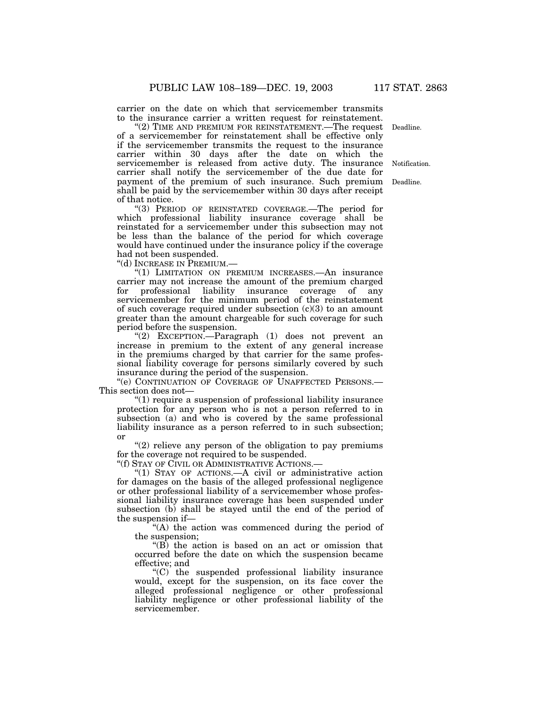carrier on the date on which that servicemember transmits to the insurance carrier a written request for reinstatement.

"(2) TIME AND PREMIUM FOR REINSTATEMENT.—The request of a servicemember for reinstatement shall be effective only if the servicemember transmits the request to the insurance carrier within 30 days after the date on which the servicemember is released from active duty. The insurance carrier shall notify the servicemember of the due date for payment of the premium of such insurance. Such premium shall be paid by the servicemember within 30 days after receipt of that notice. Deadline.

''(3) PERIOD OF REINSTATED COVERAGE.—The period for which professional liability insurance coverage shall be reinstated for a servicemember under this subsection may not be less than the balance of the period for which coverage would have continued under the insurance policy if the coverage had not been suspended.

''(d) INCREASE IN PREMIUM.—

''(1) LIMITATION ON PREMIUM INCREASES.—An insurance carrier may not increase the amount of the premium charged for professional liability insurance coverage of any servicemember for the minimum period of the reinstatement of such coverage required under subsection  $(c)(3)$  to an amount greater than the amount chargeable for such coverage for such period before the suspension.

''(2) EXCEPTION.—Paragraph (1) does not prevent an increase in premium to the extent of any general increase in the premiums charged by that carrier for the same professional liability coverage for persons similarly covered by such insurance during the period of the suspension.

''(e) CONTINUATION OF COVERAGE OF UNAFFECTED PERSONS.— This section does not—

''(1) require a suspension of professional liability insurance protection for any person who is not a person referred to in subsection (a) and who is covered by the same professional liability insurance as a person referred to in such subsection; or

" $(2)$  relieve any person of the obligation to pay premiums for the coverage not required to be suspended.

''(f) STAY OF CIVIL OR ADMINISTRATIVE ACTIONS.—

"(1) STAY OF ACTIONS.—A civil or administrative action for damages on the basis of the alleged professional negligence or other professional liability of a servicemember whose professional liability insurance coverage has been suspended under subsection (b) shall be stayed until the end of the period of the suspension if—

"(A) the action was commenced during the period of the suspension;

 $'(B)$  the action is based on an act or omission that occurred before the date on which the suspension became effective; and

 $(C)$  the suspended professional liability insurance would, except for the suspension, on its face cover the alleged professional negligence or other professional liability negligence or other professional liability of the servicemember.

Notification.

Deadline.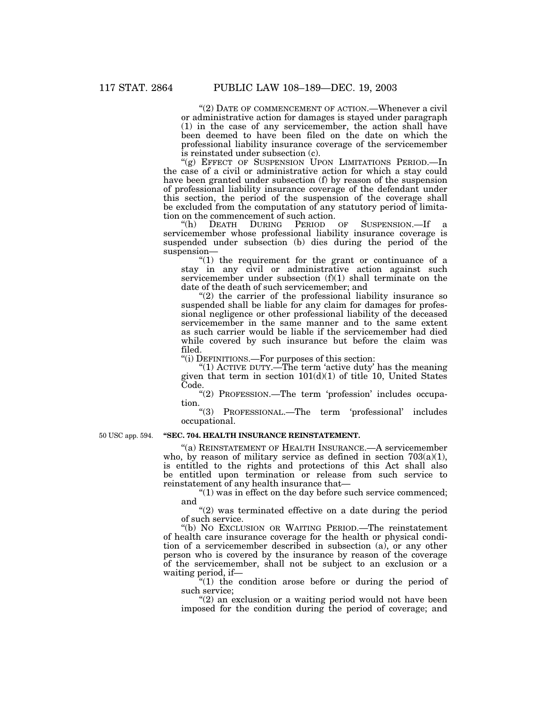"(2) DATE OF COMMENCEMENT OF ACTION.—Whenever a civil or administrative action for damages is stayed under paragraph (1) in the case of any servicemember, the action shall have been deemed to have been filed on the date on which the professional liability insurance coverage of the servicemember is reinstated under subsection (c).

"(g) EFFECT OF SUSPENSION UPON LIMITATIONS PERIOD.—In the case of a civil or administrative action for which a stay could have been granted under subsection (f) by reason of the suspension of professional liability insurance coverage of the defendant under this section, the period of the suspension of the coverage shall be excluded from the computation of any statutory period of limitation on the commencement of such action.

''(h) DEATH DURING PERIOD OF SUSPENSION.—If a servicemember whose professional liability insurance coverage is suspended under subsection (b) dies during the period of the suspension—

" $(1)$  the requirement for the grant or continuance of a stay in any civil or administrative action against such servicemember under subsection (f)(1) shall terminate on the date of the death of such servicemember; and

"(2) the carrier of the professional liability insurance so suspended shall be liable for any claim for damages for professional negligence or other professional liability of the deceased servicemember in the same manner and to the same extent as such carrier would be liable if the servicemember had died while covered by such insurance but before the claim was filed.

''(i) DEFINITIONS.—For purposes of this section:

"(1) ACTIVE DUTY.—The term 'active duty' has the meaning given that term in section 101(d)(1) of title 10, United States Code.

"(2) PROFESSION.—The term 'profession' includes occupation.<br> $``(3)$ 

PROFESSIONAL.—The term 'professional' includes occupational.

50 USC app. 594.

## **''SEC. 704. HEALTH INSURANCE REINSTATEMENT.**

''(a) REINSTATEMENT OF HEALTH INSURANCE.—A servicemember who, by reason of military service as defined in section  $703(a)(1)$ , is entitled to the rights and protections of this Act shall also be entitled upon termination or release from such service to reinstatement of any health insurance that—

" $(1)$  was in effect on the day before such service commenced; and

 $''(2)$  was terminated effective on a date during the period of such service.

''(b) NO EXCLUSION OR WAITING PERIOD.—The reinstatement of health care insurance coverage for the health or physical condition of a servicemember described in subsection (a), or any other person who is covered by the insurance by reason of the coverage of the servicemember, shall not be subject to an exclusion or a waiting period, if—

" $(1)$  the condition arose before or during the period of such service;

"(2) an exclusion or a waiting period would not have been imposed for the condition during the period of coverage; and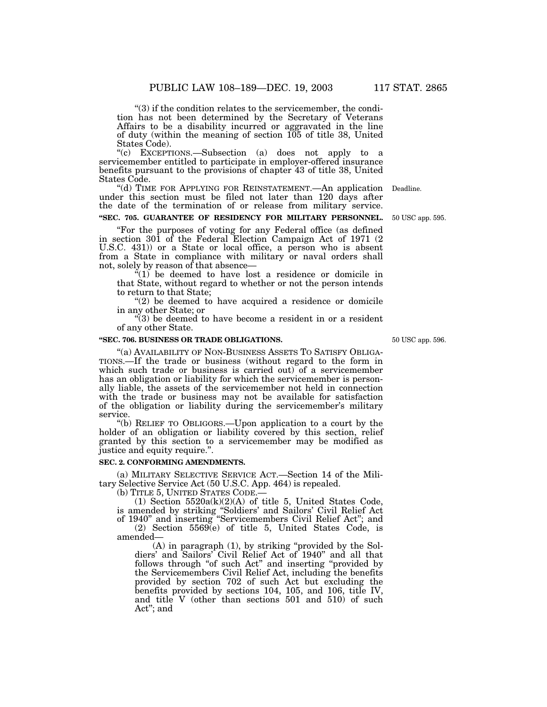''(3) if the condition relates to the servicemember, the condition has not been determined by the Secretary of Veterans Affairs to be a disability incurred or aggravated in the line of duty (within the meaning of section 105 of title 38, United States Code).

''(c) EXCEPTIONS.—Subsection (a) does not apply to a servicemember entitled to participate in employer-offered insurance benefits pursuant to the provisions of chapter 43 of title 38, United States Code.

''(d) TIME FOR APPLYING FOR REINSTATEMENT.—An application Deadline. under this section must be filed not later than 120 days after the date of the termination of or release from military service.

**''SEC. 705. GUARANTEE OF RESIDENCY FOR MILITARY PERSONNEL.** 50 USC app. 595.

"For the purposes of voting for any Federal office (as defined in section 301 of the Federal Election Campaign Act of 1971 (2 U.S.C. 431)) or a State or local office, a person who is absent from a State in compliance with military or naval orders shall not, solely by reason of that absence—

 $(1)$  be deemed to have lost a residence or domicile in that State, without regard to whether or not the person intends to return to that State;

 $(2)$  be deemed to have acquired a residence or domicile in any other State; or

 $\mathfrak{F}(3)$  be deemed to have become a resident in or a resident of any other State.

## **''SEC. 706. BUSINESS OR TRADE OBLIGATIONS.**

''(a) AVAILABILITY OF NON-BUSINESS ASSETS TO SATISFY OBLIGA-TIONS.—If the trade or business (without regard to the form in which such trade or business is carried out) of a servicemember has an obligation or liability for which the servicemember is personally liable, the assets of the servicemember not held in connection with the trade or business may not be available for satisfaction of the obligation or liability during the servicemember's military service.

''(b) RELIEF TO OBLIGORS.—Upon application to a court by the holder of an obligation or liability covered by this section, relief granted by this section to a servicemember may be modified as justice and equity require.''.

## **SEC. 2. CONFORMING AMENDMENTS.**

(a) MILITARY SELECTIVE SERVICE ACT.—Section 14 of the Military Selective Service Act (50 U.S.C. App. 464) is repealed.

(b) TITLE 5, UNITED STATES CODE.—

(1) Section 5520a(k)(2)(A) of title 5, United States Code, is amended by striking ''Soldiers' and Sailors' Civil Relief Act of 1940'' and inserting ''Servicemembers Civil Relief Act''; and

 $(2)$  Section 5569 $(e)$  of title 5, United States Code, is amended—

(A) in paragraph (1), by striking ''provided by the Soldiers' and Sailors' Civil Relief Act of 1940'' and all that follows through "of such Act" and inserting "provided by the Servicemembers Civil Relief Act, including the benefits provided by section 702 of such Act but excluding the benefits provided by sections 104, 105, and 106, title IV, and title V (other than sections 501 and 510) of such Act''; and

50 USC app. 596.